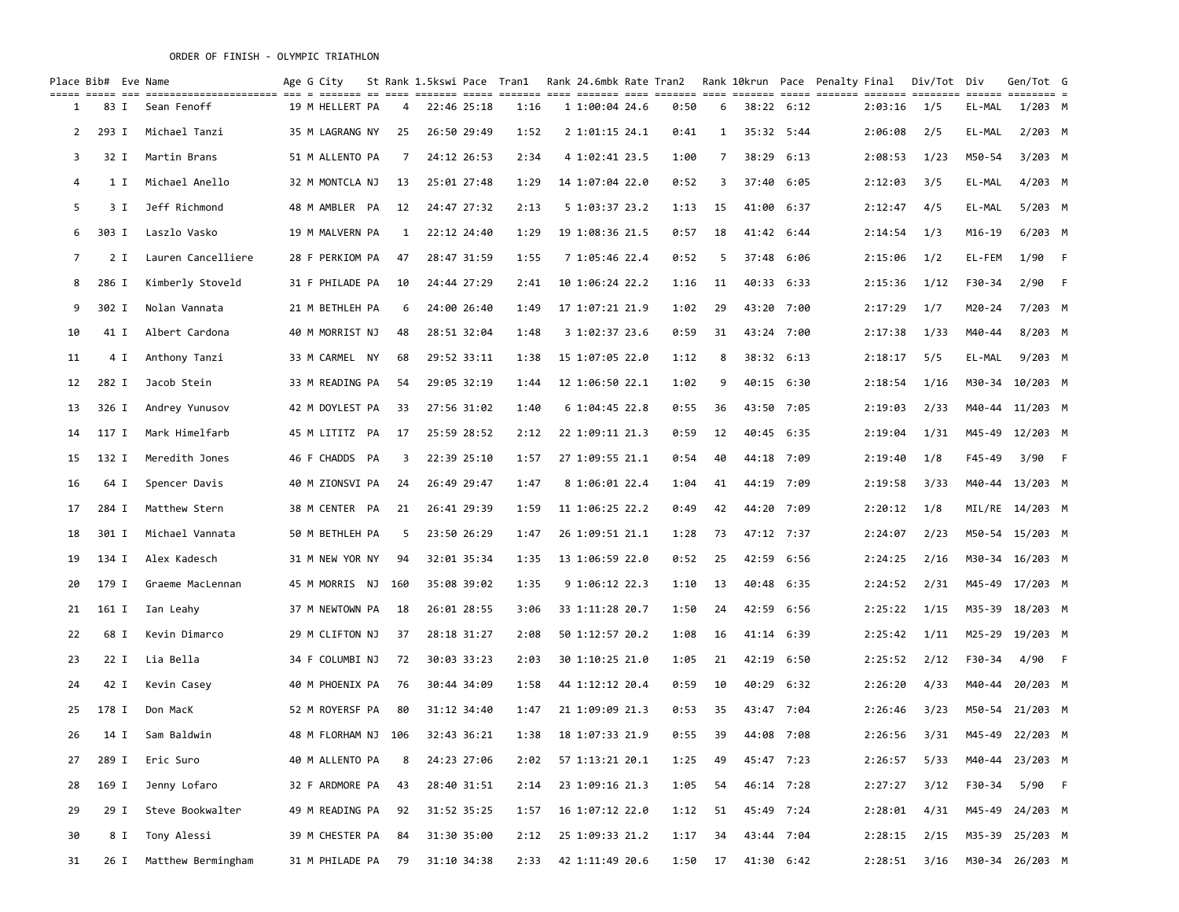|    | Place Bib# Eve Name |                    | Age G City         |     | St Rank 1.5kswi Pace Tran1 |      | Rank 24.6mbk Rate Tran2 |      |                |            | Rank 10krun Pace Penalty Final |         | Div/Tot Div |            | Gen/Tot G       |  |
|----|---------------------|--------------------|--------------------|-----|----------------------------|------|-------------------------|------|----------------|------------|--------------------------------|---------|-------------|------------|-----------------|--|
| 1  | 83 I                | Sean Fenoff        | 19 M HELLERT PA    | 4   | 22:46 25:18                | 1:16 | 1 1:00:04 24.6          | 0:50 | 6              | 38:22 6:12 |                                | 2:03:16 | 1/5         | EL-MAL     | $1/203$ M       |  |
| 2  | 293 I               | Michael Tanzi      | 35 M LAGRANG NY    | 25  | 26:50 29:49                | 1:52 | 2 1:01:15 24.1          | 0:41 | 1              | 35:32 5:44 |                                | 2:06:08 | 2/5         | EL-MAL     | $2/203$ M       |  |
| 3  | 32 I                | Martin Brans       | 51 M ALLENTO PA    | 7   | 24:12 26:53                | 2:34 | 4 1:02:41 23.5          | 1:00 | $\overline{7}$ | 38:29 6:13 |                                | 2:08:53 | 1/23        | M50-54     | $3/203$ M       |  |
| 4  | 1 I                 | Michael Anello     | 32 M MONTCLA NJ    | 13  | 25:01 27:48                | 1:29 | 14 1:07:04 22.0         | 0:52 | 3              | 37:40 6:05 |                                | 2:12:03 | 3/5         | EL-MAL     | $4/203$ M       |  |
| 5  | 3 I                 | Jeff Richmond      | 48 M AMBLER PA     | 12  | 24:47 27:32                | 2:13 | 5 1:03:37 23.2          | 1:13 | 15             | 41:00 6:37 |                                | 2:12:47 | 4/5         | EL-MAL     | $5/203$ M       |  |
| 6  | 303 I               | Laszlo Vasko       | 19 M MALVERN PA    | 1   | 22:12 24:40                | 1:29 | 19 1:08:36 21.5         | 0:57 | 18             | 41:42 6:44 |                                | 2:14:54 | 1/3         | M16-19     | $6/203$ M       |  |
| 7  | 2 I                 | Lauren Cancelliere | 28 F PERKIOM PA    | 47  | 28:47 31:59                | 1:55 | 7 1:05:46 22.4          | 0:52 | -5             | 37:48 6:06 |                                | 2:15:06 | 1/2         | EL-FEM     | $1/90$ F        |  |
| 8  | 286 I               | Kimberly Stoveld   | 31 F PHILADE PA    | 10  | 24:44 27:29                | 2:41 | 10 1:06:24 22.2         | 1:16 | 11             | 40:33 6:33 |                                | 2:15:36 | 1/12        | F30-34     | $2/90$ F        |  |
| 9  | 302 I               | Nolan Vannata      | 21 M BETHLEH PA    | 6   | 24:00 26:40                | 1:49 | 17 1:07:21 21.9         | 1:02 | 29             | 43:20 7:00 |                                | 2:17:29 | 1/7         | $M20 - 24$ | $7/203$ M       |  |
| 10 | 41 I                | Albert Cardona     | 40 M MORRIST NJ    | 48  | 28:51 32:04                | 1:48 | 3 1:02:37 23.6          | 0:59 | 31             | 43:24 7:00 |                                | 2:17:38 | 1/33        | M40-44     | $8/203$ M       |  |
| 11 | 4 I                 | Anthony Tanzi      | 33 M CARMEL NY     | 68  | 29:52 33:11                | 1:38 | 15 1:07:05 22.0         | 1:12 | 8              | 38:32 6:13 |                                | 2:18:17 | 5/5         | EL-MAL     | $9/203$ M       |  |
| 12 | 282 I               | Jacob Stein        | 33 M READING PA    | 54  | 29:05 32:19                | 1:44 | 12 1:06:50 22.1         | 1:02 | 9              | 40:15 6:30 |                                | 2:18:54 | 1/16        |            | M30-34 10/203 M |  |
| 13 | 326 I               | Andrey Yunusov     | 42 M DOYLEST PA    | 33  | 27:56 31:02                | 1:40 | 61:04:452.8             | 0:55 | 36             | 43:50 7:05 |                                | 2:19:03 | 2/33        |            | M40-44 11/203 M |  |
| 14 | 117 I               | Mark Himelfarb     | 45 M LITITZ PA     | 17  | 25:59 28:52                | 2:12 | 22 1:09:11 21.3         | 0:59 | 12             | 40:45 6:35 |                                | 2:19:04 | 1/31        |            | M45-49 12/203 M |  |
| 15 | 132 I               | Meredith Jones     | 46 F CHADDS PA     | 3   | 22:39 25:10                | 1:57 | 27 1:09:55 21.1         | 0:54 | 40             | 44:18 7:09 |                                | 2:19:40 | 1/8         | F45-49     | 3/90 F          |  |
| 16 | 64 I                | Spencer Davis      | 40 M ZIONSVI PA    | 24  | 26:49 29:47                | 1:47 | 8 1:06:01 22.4          | 1:04 | 41             | 44:19 7:09 |                                | 2:19:58 | 3/33        |            | M40-44 13/203 M |  |
| 17 | 284 I               | Matthew Stern      | 38 M CENTER PA     | 21  | 26:41 29:39                | 1:59 | 11 1:06:25 22.2         | 0:49 | 42             | 44:20 7:09 |                                | 2:20:12 | 1/8         |            | MIL/RE 14/203 M |  |
| 18 | 301 I               | Michael Vannata    | 50 M BETHLEH PA    | 5   | 23:50 26:29                | 1:47 | 26 1:09:51 21.1         | 1:28 | 73             | 47:12 7:37 |                                | 2:24:07 | 2/23        |            | M50-54 15/203 M |  |
| 19 | 134 I               | Alex Kadesch       | 31 M NEW YOR NY    | 94  | 32:01 35:34                | 1:35 | 13 1:06:59 22.0         | 0:52 | 25             | 42:59 6:56 |                                | 2:24:25 | 2/16        |            | M30-34 16/203 M |  |
| 20 | 179 I               | Graeme MacLennan   | 45 M MORRIS NJ 160 |     | 35:08 39:02                | 1:35 | 9 1:06:12 22.3          | 1:10 | 13             | 40:48 6:35 |                                | 2:24:52 | 2/31        |            | M45-49 17/203 M |  |
| 21 | 161 I               | Ian Leahy          | 37 M NEWTOWN PA    | 18  | 26:01 28:55                | 3:06 | 33 1:11:28 20.7         | 1:50 | 24             | 42:59 6:56 |                                | 2:25:22 | 1/15        |            | M35-39 18/203 M |  |
| 22 | 68 I                | Kevin Dimarco      | 29 M CLIFTON NJ    | 37  | 28:18 31:27                | 2:08 | 50 1:12:57 20.2         | 1:08 | 16             | 41:14 6:39 |                                | 2:25:42 | 1/11        |            | M25-29 19/203 M |  |
| 23 | 22 I                | Lia Bella          | 34 F COLUMBI NJ    | 72  | 30:03 33:23                | 2:03 | 30 1:10:25 21.0         | 1:05 | 21             | 42:19 6:50 |                                | 2:25:52 | 2/12        | F30-34     | 4/90 F          |  |
| 24 | 42 I                | Kevin Casey        | 40 M PHOENIX PA    | 76  | 30:44 34:09                | 1:58 | 44 1:12:12 20.4         | 0:59 | 10             | 40:29 6:32 |                                | 2:26:20 | 4/33        | M40-44     | 20/203 M        |  |
| 25 | 178 I               | Don MacK           | 52 M ROYERSF PA    | 80  | 31:12 34:40                | 1:47 | 21 1:09:09 21.3         | 0:53 | 35             | 43:47 7:04 |                                | 2:26:46 | 3/23        |            | M50-54 21/203 M |  |
| 26 | 14 I                | Sam Baldwin        | 48 M FLORHAM NJ    | 106 | 32:43 36:21                | 1:38 | 18 1:07:33 21.9         | 0:55 | 39             | 44:08 7:08 |                                | 2:26:56 | 3/31        |            | M45-49 22/203 M |  |
| 27 |                     | 289 I Eric Suro    | 40 M ALLENTO PA    | 8   | 24:23 27:06                | 2:02 | 57 1:13:21 20.1         | 1:25 | 49             | 45:47 7:23 |                                | 2:26:57 | 5/33        |            | M40-44 23/203 M |  |
| 28 | 169 I               | Jenny Lofaro       | 32 F ARDMORE PA    | 43  | 28:40 31:51                | 2:14 | 23 1:09:16 21.3         | 1:05 | 54             | 46:14 7:28 |                                | 2:27:27 | 3/12        | F30-34     | 5/90 F          |  |
| 29 | 29 I                | Steve Bookwalter   | 49 M READING PA    | 92  | 31:52 35:25                | 1:57 | 16 1:07:12 22.0         | 1:12 | 51             | 45:49 7:24 |                                | 2:28:01 | 4/31        |            | M45-49 24/203 M |  |
| 30 | 8 I                 | Tony Alessi        | 39 M CHESTER PA    | 84  | 31:30 35:00                | 2:12 | 25 1:09:33 21.2         | 1:17 | 34             | 43:44 7:04 |                                | 2:28:15 | 2/15        |            | M35-39 25/203 M |  |
| 31 | 26 I                | Matthew Bermingham | 31 M PHILADE PA    | 79  | 31:10 34:38                | 2:33 | 42 1:11:49 20.6         | 1:50 | 17             | 41:30 6:42 |                                | 2:28:51 | 3/16        |            | M30-34 26/203 M |  |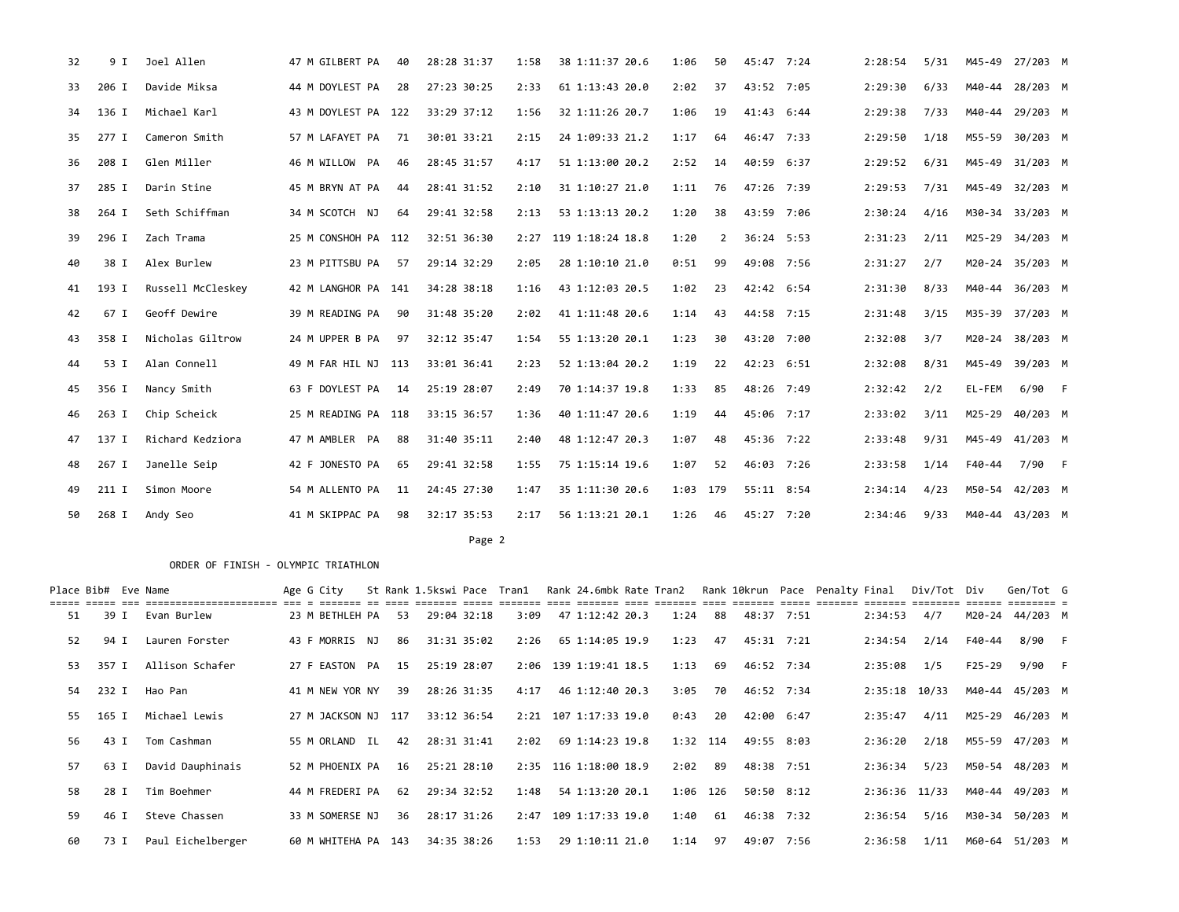| 32 | 9 I   | Joel Allen        | 47 M GILBERT PA     | 40 | 28:28 31:37 | 1:58 | 38 1:11:37 20.6  | 1:06     | 50 | 45:47 7:24 | 2:28:54 | 5/31 |        | M45-49 27/203 M |  |
|----|-------|-------------------|---------------------|----|-------------|------|------------------|----------|----|------------|---------|------|--------|-----------------|--|
| 33 | 206 I | Davide Miksa      | 44 M DOYLEST PA     | 28 | 27:23 30:25 | 2:33 | 61 1:13:43 20.0  | 2:02     | 37 | 43:52 7:05 | 2:29:30 | 6/33 |        | M40-44 28/203 M |  |
| 34 | 136 I | Michael Karl      | 43 M DOYLEST PA 122 |    | 33:29 37:12 | 1:56 | 32 1:11:26 20.7  | 1:06     | 19 | 41:43 6:44 | 2:29:38 | 7/33 |        | M40-44 29/203 M |  |
| 35 | 277 I | Cameron Smith     | 57 M LAFAYET PA     | 71 | 30:01 33:21 | 2:15 | 24 1:09:33 21.2  | 1:17     | 64 | 46:47 7:33 | 2:29:50 | 1/18 |        | M55-59 30/203 M |  |
| 36 | 208 I | Glen Miller       | 46 M WILLOW PA      | 46 | 28:45 31:57 | 4:17 | 51 1:13:00 20.2  | 2:52     | 14 | 40:59 6:37 | 2:29:52 | 6/31 |        | M45-49 31/203 M |  |
| 37 | 285 I | Darin Stine       | 45 M BRYN AT PA     | 44 | 28:41 31:52 | 2:10 | 31 1:10:27 21.0  | 1:11     | 76 | 47:26 7:39 | 2:29:53 | 7/31 |        | M45-49 32/203 M |  |
| 38 | 264 I | Seth Schiffman    | 34 M SCOTCH NJ      | 64 | 29:41 32:58 | 2:13 | 53 1:13:13 20.2  | 1:20     | 38 | 43:59 7:06 | 2:30:24 | 4/16 |        | M30-34 33/203 M |  |
| 39 | 296 I | Zach Trama        | 25 M CONSHOH PA 112 |    | 32:51 36:30 | 2:27 | 119 1:18:24 18.8 | 1:20     | 2  | 36:24 5:53 | 2:31:23 | 2/11 |        | M25-29 34/203 M |  |
| 40 | 38 I  | Alex Burlew       | 23 M PITTSBU PA     | 57 | 29:14 32:29 | 2:05 | 28 1:10:10 21.0  | 0:51     | 99 | 49:08 7:56 | 2:31:27 | 2/7  |        | M20-24 35/203 M |  |
| 41 | 193 I | Russell McCleskey | 42 M LANGHOR PA 141 |    | 34:28 38:18 | 1:16 | 43 1:12:03 20.5  | 1:02     | 23 | 42:42 6:54 | 2:31:30 | 8/33 | M40-44 | 36/203 M        |  |
| 42 | 67 I  | Geoff Dewire      | 39 M READING PA     | 90 | 31:48 35:20 | 2:02 | 41 1:11:48 20.6  | 1:14     | 43 | 44:58 7:15 | 2:31:48 | 3/15 |        | M35-39 37/203 M |  |
| 43 | 358 I | Nicholas Giltrow  | 24 M UPPER B PA     | 97 | 32:12 35:47 | 1:54 | 55 1:13:20 20.1  | 1:23     | 30 | 43:20 7:00 | 2:32:08 | 3/7  |        | M20-24 38/203 M |  |
| 44 | 53 I  | Alan Connell      | 49 M FAR HIL NJ 113 |    | 33:01 36:41 | 2:23 | 52 1:13:04 20.2  | 1:19     | 22 | 42:23 6:51 | 2:32:08 | 8/31 | M45-49 | 39/203 M        |  |
| 45 | 356 I | Nancy Smith       | 63 F DOYLEST PA     | 14 | 25:19 28:07 | 2:49 | 70 1:14:37 19.8  | 1:33     | 85 | 48:26 7:49 | 2:32:42 | 2/2  | EL-FEM | 6/90 F          |  |
| 46 | 263 I | Chip Scheick      | 25 M READING PA 118 |    | 33:15 36:57 | 1:36 | 40 1:11:47 20.6  | 1:19     | 44 | 45:06 7:17 | 2:33:02 | 3/11 | M25-29 | 40/203 M        |  |
| 47 | 137 I | Richard Kedziora  | 47 M AMBLER PA      | 88 | 31:40 35:11 | 2:40 | 48 1:12:47 20.3  | 1:07     | 48 | 45:36 7:22 | 2:33:48 | 9/31 |        | M45-49 41/203 M |  |
| 48 | 267 I | Janelle Seip      | 42 F JONESTO PA     | 65 | 29:41 32:58 | 1:55 | 75 1:15:14 19.6  | 1:07     | 52 | 46:03 7:26 | 2:33:58 | 1/14 | F40-44 | 7/90 F          |  |
| 49 | 211 I | Simon Moore       | 54 M ALLENTO PA     | 11 | 24:45 27:30 | 1:47 | 35 1:11:30 20.6  | 1:03 179 |    | 55:11 8:54 | 2:34:14 | 4/23 |        | M50-54 42/203 M |  |
| 50 | 268 I | Andy Seo          | 41 M SKIPPAC PA     | 98 | 32:17 35:53 | 2:17 | 56 1:13:21 20.1  | 1:26     | 46 | 45:27 7:20 | 2:34:46 | 9/33 |        | M40-44 43/203 M |  |
|    |       |                   |                     |    |             |      |                  |          |    |            |         |      |        |                 |  |

Page 2 and 2 and 2 and 2 and 2 and 2 and 2 and 2 and 2 and 2 and 2 and 2 and 2 and 2 and 2 and 2 and 2 and 2

| Place Bib# Eve Name |       |                   | Age G City          |    | St Rank 1.5kswi Pace Tran1 |             |      |                       |           |      |            |  |               | Rank 24.6mbk Rate Tran2 Rank 10krun Pace Penalty Final Div/Tot Div |        | Gen/Tot G       |  |
|---------------------|-------|-------------------|---------------------|----|----------------------------|-------------|------|-----------------------|-----------|------|------------|--|---------------|--------------------------------------------------------------------|--------|-----------------|--|
| 51                  | 39 I  | Evan Burlew       | 23 M BETHLEH PA     | 53 |                            | 29:04 32:18 | 3:09 | 47 1:12:42 20.3       | 1:24      | 88   | 48:37 7:51 |  | 2:34:53       | 4/7                                                                |        | M20-24 44/203 M |  |
| 52                  | 94 I  | Lauren Forster    | 43 F MORRIS NJ      | 86 | 31:31 35:02                |             | 2:26 | 65 1:14:05 19.9       | 1:23      | 47   | 45:31 7:21 |  | 2:34:54       | 2/14                                                               | F40-44 | 8/90 F          |  |
| 53                  | 357 I | Allison Schafer   | 27 F EASTON PA      | 15 |                            | 25:19 28:07 |      | 2:06 139 1:19:41 18.5 | 1:13      | 69   | 46:52 7:34 |  | 2:35:08       | 1/5                                                                | F25-29 | 9/90 F          |  |
| 54                  | 232 I | Hao Pan           | 41 M NEW YOR NY     | 39 | 28:26 31:35                |             | 4:17 | 46 1:12:40 20.3       | 3:05      | 70   | 46:52 7:34 |  | 2:35:18 10/33 |                                                                    |        | M40-44 45/203 M |  |
| 55                  | 165 I | Michael Lewis     | 27 M JACKSON NJ 117 |    |                            | 33:12 36:54 |      | 2:21 107 1:17:33 19.0 | 0:43      | - 20 | 42:00 6:47 |  | 2:35:47       | 4/11                                                               |        | M25-29 46/203 M |  |
| 56                  |       | 43 I Tom Cashman  | 55 M ORLAND IL      | 42 | 28:31 31:41                |             | 2:02 | 69 1:14:23 19.8       | 1:32 114  |      | 49:55 8:03 |  | 2:36:20       | 2/18                                                               |        | M55-59 47/203 M |  |
| 57                  | 63 I  | David Dauphinais  | 52 M PHOENIX PA     | 16 | 25:21 28:10                |             |      | 2:35 116 1:18:00 18.9 | $2:02$ 89 |      | 48:38 7:51 |  | 2:36:34       | 5/23                                                               |        | M50-54 48/203 M |  |
| 58                  | 28 I  | Tim Boehmer       | 44 M FREDERI PA     | 62 | 29:34 32:52                |             | 1:48 | 54 1:13:20 20.1       | 1:06 126  |      | 50:50 8:12 |  | 2:36:36 11/33 |                                                                    |        | M40-44 49/203 M |  |
| 59                  | 46 I  | Steve Chassen     | 33 M SOMERSE NJ     | 36 |                            | 28:17 31:26 |      | 2:47 109 1:17:33 19.0 | 1:40      | 61   | 46:38 7:32 |  | 2:36:54       | 5/16                                                               |        | M30-34 50/203 M |  |
| 60                  | 73 I  | Paul Eichelberger | 60 M WHITEHA PA 143 |    |                            | 34:35 38:26 | 1:53 | 29 1:10:11 21.0       | 1:14      | 97   | 49:07 7:56 |  | 2:36:58       | 1/11                                                               |        | M60-64 51/203 M |  |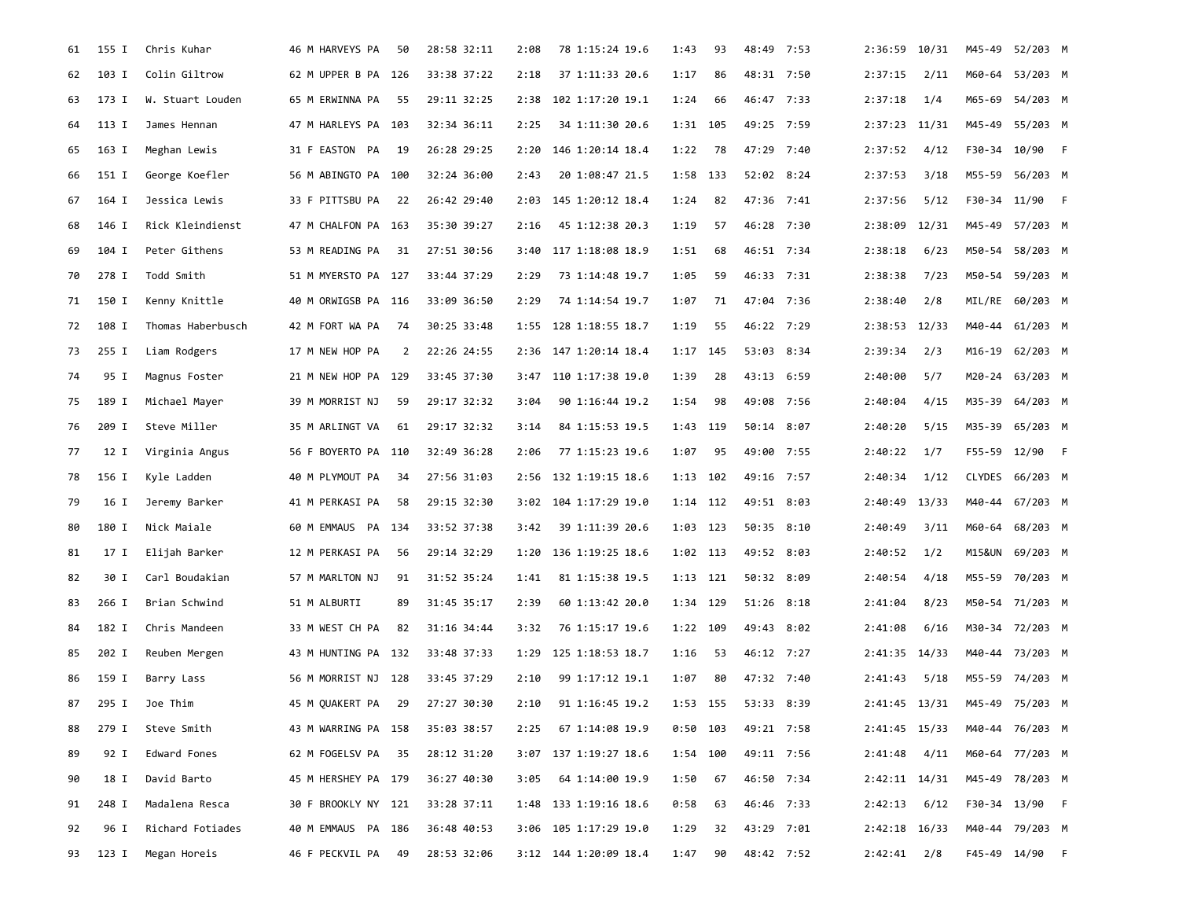| 61 | 155 I | Chris Kuhar       | 46 M HARVEYS PA     | 50   | 28:58 32:11 | 2:08 | 78 1:15:24 19.6       | 1:43       | 93  | 48:49 7:53 | 2:36:59 10/31     |      | M45-49 52/203 M |  |
|----|-------|-------------------|---------------------|------|-------------|------|-----------------------|------------|-----|------------|-------------------|------|-----------------|--|
| 62 | 103 I | Colin Giltrow     | 62 M UPPER B PA 126 |      | 33:38 37:22 | 2:18 | 37 1:11:33 20.6       | 1:17       | 86  | 48:31 7:50 | 2:37:15           | 2/11 | M60-64 53/203 M |  |
| 63 | 173 I | W. Stuart Louden  | 65 M ERWINNA PA     | 55   | 29:11 32:25 | 2:38 | 102 1:17:20 19.1      | 1:24       | 66  | 46:47 7:33 | 2:37:18           | 1/4  | M65-69 54/203 M |  |
| 64 | 113 I | James Hennan      | 47 M HARLEYS PA 103 |      | 32:34 36:11 | 2:25 | 34 1:11:30 20.6       | 1:31 105   |     | 49:25 7:59 | 2:37:23 11/31     |      | M45-49 55/203 M |  |
| 65 | 163 I | Meghan Lewis      | 31 F EASTON PA      | - 19 | 26:28 29:25 | 2:20 | 146 1:20:14 18.4      | 1:22       | 78  | 47:29 7:40 | 2:37:52           | 4/12 | F30-34 10/90 F  |  |
| 66 | 151 I | George Koefler    | 56 M ABINGTO PA 100 |      | 32:24 36:00 | 2:43 | 20 1:08:47 21.5       | 1:58       | 133 | 52:02 8:24 | 2:37:53           | 3/18 | M55-59 56/203 M |  |
| 67 | 164 I | Jessica Lewis     | 33 F PITTSBU PA     | 22   | 26:42 29:40 | 2:03 | 145 1:20:12 18.4      | 1:24       | 82  | 47:36 7:41 | 2:37:56           | 5/12 | F30-34 11/90 F  |  |
| 68 | 146 I | Rick Kleindienst  | 47 M CHALFON PA 163 |      | 35:30 39:27 | 2:16 | 45 1:12:38 20.3       | 1:19       | 57  | 46:28 7:30 | 2:38:09 12/31     |      | M45-49 57/203 M |  |
| 69 | 104 I | Peter Githens     | 53 M READING PA     | 31   | 27:51 30:56 | 3:40 | 117 1:18:08 18.9      | 1:51       | 68  | 46:51 7:34 | 2:38:18           | 6/23 | M50-54 58/203 M |  |
| 70 | 278 I | Todd Smith        | 51 M MYERSTO PA 127 |      | 33:44 37:29 | 2:29 | 73 1:14:48 19.7       | 1:05       | 59  | 46:33 7:31 | 2:38:38           | 7/23 | M50-54 59/203 M |  |
| 71 | 150 I | Kenny Knittle     | 40 M ORWIGSB PA 116 |      | 33:09 36:50 | 2:29 | 74 1:14:54 19.7       | 1:07       | 71  | 47:04 7:36 | 2:38:40           | 2/8  | MIL/RE 60/203 M |  |
| 72 | 108 I | Thomas Haberbusch | 42 M FORT WA PA     | -74  | 30:25 33:48 | 1:55 | 128 1:18:55 18.7      | 1:19       | 55  | 46:22 7:29 | $2:38:53$ $12/33$ |      | M40-44 61/203 M |  |
| 73 | 255 I | Liam Rodgers      | 17 M NEW HOP PA     | 2    | 22:26 24:55 | 2:36 | 147 1:20:14 18.4      | 1:17       | 145 | 53:03 8:34 | 2:39:34           | 2/3  | M16-19 62/203 M |  |
| 74 | 95 I  | Magnus Foster     | 21 M NEW HOP PA 129 |      | 33:45 37:30 | 3:47 | 110 1:17:38 19.0      | 1:39       | 28  | 43:13 6:59 | 2:40:00           | 5/7  | M20-24 63/203 M |  |
| 75 | 189 I | Michael Mayer     | 39 M MORRIST NJ     | 59   | 29:17 32:32 | 3:04 | 90 1:16:44 19.2       | 1:54       | 98  | 49:08 7:56 | 2:40:04           | 4/15 | M35-39 64/203 M |  |
| 76 | 209 I | Steve Miller      | 35 M ARLINGT VA     | 61   | 29:17 32:32 | 3:14 | 84 1:15:53 19.5       | 1:43 119   |     | 50:14 8:07 | 2:40:20           | 5/15 | M35-39 65/203 M |  |
| 77 | 12 I  | Virginia Angus    | 56 F BOYERTO PA 110 |      | 32:49 36:28 | 2:06 | 77 1:15:23 19.6       | 1:07       | 95  | 49:00 7:55 | 2:40:22           | 1/7  | F55-59 12/90 F  |  |
| 78 | 156 I | Kyle Ladden       | 40 M PLYMOUT PA     | -34  | 27:56 31:03 | 2:56 | 132 1:19:15 18.6      | 1:13       | 102 | 49:16 7:57 | 2:40:34           | 1/12 | CLYDES 66/203 M |  |
| 79 | 16 I  | Jeremy Barker     | 41 M PERKASI PA     | 58   | 29:15 32:30 | 3:02 | 104 1:17:29 19.0      | 1:14 112   |     | 49:51 8:03 | 2:40:49 13/33     |      | M40-44 67/203 M |  |
| 80 | 180 I | Nick Maiale       | 60 M EMMAUS PA 134  |      | 33:52 37:38 | 3:42 | 39 1:11:39 20.6       | 1:03 123   |     | 50:35 8:10 | 2:40:49           | 3/11 | M60-64 68/203 M |  |
| 81 | 17 I  | Elijah Barker     | 12 M PERKASI PA     | -56  | 29:14 32:29 | 1:20 | 136 1:19:25 18.6      | 1:02 113   |     | 49:52 8:03 | 2:40:52           | 1/2  | M15&UN 69/203 M |  |
| 82 | 30 I  | Carl Boudakian    | 57 M MARLTON NJ     | 91   | 31:52 35:24 | 1:41 | 81 1:15:38 19.5       | 1:13 121   |     | 50:32 8:09 | 2:40:54           | 4/18 | M55-59 70/203 M |  |
| 83 | 266 I | Brian Schwind     | 51 M ALBURTI        | 89   | 31:45 35:17 | 2:39 | 60 1:13:42 20.0       | 1:34 129   |     | 51:26 8:18 | 2:41:04           | 8/23 | M50-54 71/203 M |  |
| 84 | 182 I | Chris Mandeen     | 33 M WEST CH PA     | 82   | 31:16 34:44 | 3:32 | 76 1:15:17 19.6       | 1:22       | 109 | 49:43 8:02 | 2:41:08           | 6/16 | M30-34 72/203 M |  |
| 85 | 202 I | Reuben Mergen     | 43 M HUNTING PA 132 |      | 33:48 37:33 | 1:29 | 125 1:18:53 18.7      | 1:16       | -53 | 46:12 7:27 | 2:41:35 14/33     |      | M40-44 73/203 M |  |
| 86 | 159 I | Barry Lass        | 56 M MORRIST NJ 128 |      | 33:45 37:29 | 2:10 | 99 1:17:12 19.1       | 1:07       | 80  | 47:32 7:40 | 2:41:43           | 5/18 | M55-59 74/203 M |  |
| 87 | 295 I | Joe Thim          | 45 M OUAKERT PA     | 29   | 27:27 30:30 | 2:10 | 91 1:16:45 19.2       | 1:53 155   |     | 53:33 8:39 | 2:41:45 13/31     |      | M45-49 75/203 M |  |
| 88 | 279 I | Steve Smith       | 43 M WARRING PA 158 |      | 35:03 38:57 | 2:25 | 67 1:14:08 19.9       | $0:50$ 103 |     | 49:21 7:58 | 2:41:45 15/33     |      | M40-44 76/203 M |  |
| 89 | 92 I  | Edward Fones      | 62 M FOGELSV PA 35  |      | 28:12 31:20 | 3:07 | 137 1:19:27 18.6      | 1:54 100   |     | 49:11 7:56 | $2:41:48$ $4/11$  |      | M60-64 77/203 M |  |
| 90 | 18 I  | David Barto       | 45 M HERSHEY PA 179 |      | 36:27 40:30 | 3:05 | 64 1:14:00 19.9       | 1:50       | 67  | 46:50 7:34 | 2:42:11 14/31     |      | M45-49 78/203 M |  |
| 91 | 248 I | Madalena Resca    | 30 F BROOKLY NY 121 |      | 33:28 37:11 |      | 1:48 133 1:19:16 18.6 | 0:58       | 63  | 46:46 7:33 | 2:42:13           | 6/12 | F30-34 13/90 F  |  |
| 92 | 96 I  | Richard Fotiades  | 40 M EMMAUS PA 186  |      | 36:48 40:53 |      | 3:06 105 1:17:29 19.0 | 1:29       | 32  | 43:29 7:01 | 2:42:18 16/33     |      | M40-44 79/203 M |  |
| 93 | 123 I | Megan Horeis      | 46 F PECKVIL PA     | - 49 | 28:53 32:06 |      | 3:12 144 1:20:09 18.4 | 1:47       | 90  | 48:42 7:52 | $2:42:41$ $2/8$   |      | F45-49 14/90 F  |  |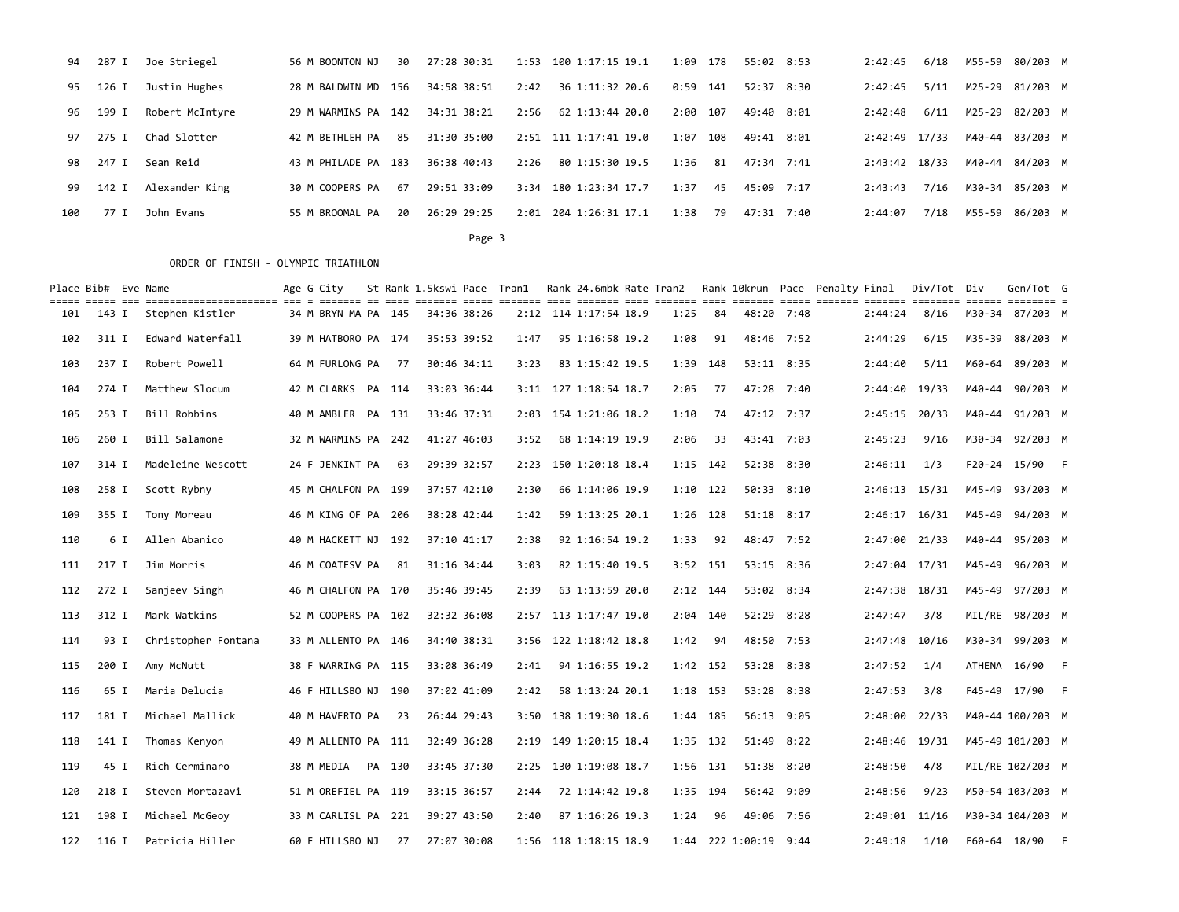| 94  | 287 I | Joe Striegel    | 56 M BOONTON NJ     | 30 | 27:28 30:31 |      | 1:53 100 1:17:15 19.1 | 1:09 | 178  | 55:02 8:53 | 2:42:45       | 6/18 | M55-59 80/203 M |  |
|-----|-------|-----------------|---------------------|----|-------------|------|-----------------------|------|------|------------|---------------|------|-----------------|--|
| 95  | 126 I | Justin Hughes   | 28 M BALDWIN MD 156 |    | 34:58 38:51 | 2:42 | 36 1:11:32 20.6       | 0:59 | 141  | 52:37 8:30 | 2:42:45       | 5/11 | M25-29 81/203 M |  |
| 96  | 199 I | Robert McIntyre | 29 M WARMINS PA 142 |    | 34:31 38:21 | 2:56 | 62 1:13:44 20.0       | 2:00 | 107  | 49:40 8:01 | 2:42:48       | 6/11 | M25-29 82/203 M |  |
| 97  | 275 I | Chad Slotter    | 42 M BETHLEH PA     | 85 | 31:30 35:00 |      | 2:51 111 1:17:41 19.0 | 1:07 | 108  | 49:41 8:01 | 2:42:49 17/33 |      | M40-44 83/203 M |  |
| 98  | 247 I | Sean Reid       | 43 M PHILADE PA 183 |    | 36:38 40:43 | 2:26 | 80 1:15:30 19.5       | 1:36 | 81   | 47:34 7:41 | 2:43:42 18/33 |      | M40-44 84/203 M |  |
| 99  | 142 I | Alexander King  | 30 M COOPERS PA     | 67 | 29:51 33:09 | 3:34 | 180 1:23:34 17.7      | 1:37 | 45   | 45:09 7:17 | 2:43:43       | 7/16 | M30-34 85/203 M |  |
| 100 | 77 I  | John Evans      | 55 M BROOMAL PA     | 20 | 26:29 29:25 | 2:01 | 204 1:26:31 17.1      | 1:38 | - 79 | 47:31 7:40 | 2:44:07       | 7/18 | M55-59 86/203 M |  |
|     |       |                 |                     |    |             |      |                       |      |      |            |               |      |                 |  |

Page 3 and the state of the state of the state of the state of the state of the state of the state of the state of the state of the state of the state of the state of the state of the state of the state of the state of the

|     | Place Bib# Eve Name | cons once on concertementence are a corre or corre corre corre corre con correr and correr corre correr correr correr correr correr correr a | Age G City          |       |                |             |      |                       | St Rank 1.5kswi Pace Tran1 Rank 24.6mbk Rate Tran2 Rank 10krun Pace Penalty Final |       |                       |            |               | Div/Tot Div | Gen/Tot G        |  |
|-----|---------------------|----------------------------------------------------------------------------------------------------------------------------------------------|---------------------|-------|----------------|-------------|------|-----------------------|-----------------------------------------------------------------------------------|-------|-----------------------|------------|---------------|-------------|------------------|--|
| 101 | 143 I               | Stephen Kistler                                                                                                                              | 34 M BRYN MA PA 145 |       |                | 34:36 38:26 |      | 2:12 114 1:17:54 18.9 | 1:25                                                                              | 84    | 48:20 7:48            |            | 2:44:24       | 8/16        | M30-34 87/203 M  |  |
| 102 | 311 I               | Edward Waterfall                                                                                                                             | 39 M HATBORO PA 174 |       |                | 35:53 39:52 | 1:47 | 95 1:16:58 19.2       | 1:08                                                                              | 91    | 48:46 7:52            |            | 2:44:29       | 6/15        | M35-39 88/203 M  |  |
| 103 | 237 I               | Robert Powell                                                                                                                                | 64 M FURLONG PA     | 77    |                | 30:46 34:11 | 3:23 | 83 1:15:42 19.5       | 1:39                                                                              | 148   | 53:11 8:35            |            | 2:44:40       | 5/11        | M60-64 89/203 M  |  |
| 104 | 274 I               | Matthew Slocum                                                                                                                               | 42 M CLARKS PA 114  |       |                | 33:03 36:44 |      | 3:11 127 1:18:54 18.7 | 2:05                                                                              | 77    | 47:28 7:40            |            | 2:44:40 19/33 |             | M40-44 90/203 M  |  |
| 105 | 253 I               | Bill Robbins                                                                                                                                 | 40 M AMBLER PA 131  |       |                | 33:46 37:31 |      | 2:03 154 1:21:06 18.2 | 1:10                                                                              | 74    | 47:12 7:37            |            | 2:45:15 20/33 |             | M40-44 91/203 M  |  |
| 106 | 260 I               | Bill Salamone                                                                                                                                | 32 M WARMINS PA 242 |       |                | 41:27 46:03 | 3:52 | 68 1:14:19 19.9       | 2:06                                                                              | 33    | 43:41 7:03            |            | 2:45:23       | 9/16        | M30-34 92/203 M  |  |
| 107 | 314 I               | Madeleine Wescott                                                                                                                            | 24 F JENKINT PA     | 63    |                | 29:39 32:57 | 2:23 | 150 1:20:18 18.4      | 1:15                                                                              | 142   | 52:38 8:30            |            | 2:46:11       | 1/3         | F20-24 15/90 F   |  |
| 108 | 258 I               | Scott Rybny                                                                                                                                  | 45 M CHALFON PA 199 |       |                | 37:57 42:10 | 2:30 | 66 1:14:06 19.9       | $1:10$ 122                                                                        |       | 50:33 8:10            |            | 2:46:13 15/31 |             | M45-49 93/203 M  |  |
| 109 | 355 I               | Tony Moreau                                                                                                                                  | 46 M KING OF PA     | - 206 |                | 38:28 42:44 | 1:42 | 59 1:13:25 20.1       | $1:26$ 128                                                                        |       | 51:18 8:17            |            | 2:46:17 16/31 |             | M45-49 94/203 M  |  |
| 110 | 6 I                 | Allen Abanico                                                                                                                                | 40 M HACKETT NJ 192 |       |                | 37:10 41:17 | 2:38 | 92 1:16:54 19.2       | 1:33                                                                              | 92    | 48:47 7:52            |            | 2:47:00 21/33 |             | M40-44 95/203 M  |  |
| 111 | 217 I               | Jim Morris                                                                                                                                   | 46 M COATESV PA     | 81    |                | 31:16 34:44 | 3:03 | 82 1:15:40 19.5       | $3:52$ 151                                                                        |       | 53:15 8:36            |            | 2:47:04 17/31 |             | M45-49 96/203 M  |  |
| 112 | 272 I               | Sanjeev Singh                                                                                                                                | 46 M CHALFON PA 170 |       |                | 35:46 39:45 | 2:39 | 63 1:13:59 20.0       | $2:12$ 144                                                                        |       |                       | 53:02 8:34 | 2:47:38 18/31 |             | M45-49 97/203 M  |  |
| 113 | 312 I               | Mark Watkins                                                                                                                                 | 52 M COOPERS PA 102 |       |                | 32:32 36:08 |      | 2:57 113 1:17:47 19.0 | 2:04 140                                                                          |       | 52:29 8:28            |            | 2:47:47       | 3/8         | MIL/RE 98/203 M  |  |
| 114 | 93 I                | Christopher Fontana                                                                                                                          | 33 M ALLENTO PA 146 |       |                | 34:40 38:31 |      | 3:56 122 1:18:42 18.8 | 1:42                                                                              | 94    | 48:50 7:53            |            | 2:47:48 10/16 |             | M30-34 99/203 M  |  |
| 115 | 200 I               | Amy McNutt                                                                                                                                   | 38 F WARRING PA 115 |       |                | 33:08 36:49 | 2:41 | 94 1:16:55 19.2       | 1:42 152                                                                          |       | 53:28 8:38            |            | 2:47:52       | 1/4         | ATHENA 16/90 F   |  |
| 116 | 65 I                | Maria Delucia                                                                                                                                | 46 F HILLSBO NJ 190 |       |                | 37:02 41:09 | 2:42 | 58 1:13:24 20.1       | 1:18 153                                                                          |       | 53:28 8:38            |            | 2:47:53       | 3/8         | F45-49 17/90 F   |  |
| 117 | 181 I               | Michael Mallick                                                                                                                              | 40 M HAVERTO PA     | 23    |                | 26:44 29:43 | 3:50 | 138 1:19:30 18.6      | 1:44 185                                                                          |       | 56:13 9:05            |            | 2:48:00 22/33 |             | M40-44 100/203 M |  |
| 118 | 141 I               | Thomas Kenyon                                                                                                                                | 49 M ALLENTO PA 111 |       |                | 32:49 36:28 | 2:19 | 149 1:20:15 18.4      | $1:35$ 132                                                                        |       | 51:49 8:22            |            | 2:48:46 19/31 |             | M45-49 101/203 M |  |
| 119 | 45 I                | Rich Cerminaro                                                                                                                               | 38 M MEDIA PA 130   |       |                | 33:45 37:30 |      | 2:25 130 1:19:08 18.7 | 1:56 131                                                                          |       | 51:38 8:20            |            | 2:48:50       | 4/8         | MIL/RE 102/203 M |  |
| 120 | 218 I               | Steven Mortazavi                                                                                                                             | 51 M OREFIEL PA 119 |       |                | 33:15 36:57 | 2:44 | 72 1:14:42 19.8       | 1:35                                                                              | - 194 | 56:42 9:09            |            | 2:48:56       | 9/23        | M50-54 103/203 M |  |
| 121 | 198 I               | Michael McGeoy                                                                                                                               | 33 M CARLISL PA     | 221   |                | 39:27 43:50 | 2:40 | 87 1:16:26 19.3       | 1:24                                                                              | 96    | 49:06 7:56            |            | 2:49:01 11/16 |             | M30-34 104/203 M |  |
| 122 | 116 I               | Patricia Hiller                                                                                                                              | 60 F HILLSBO NJ     |       | 27 27:07 30:08 |             |      | 1:56 118 1:18:15 18.9 |                                                                                   |       | 1:44 222 1:00:19 9:44 |            | 2:49:18       | 1/10        | F60-64 18/90 F   |  |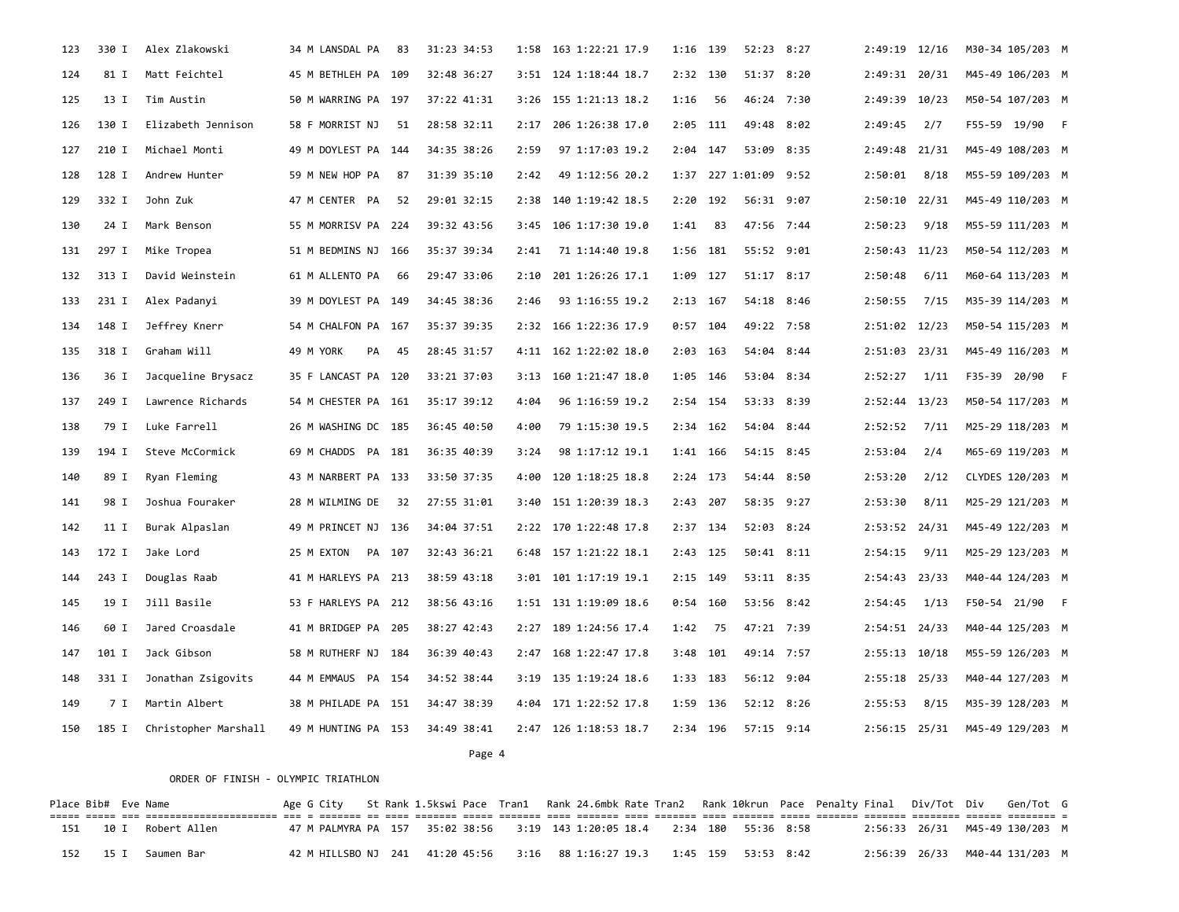| 123 | 330 I | Alex Zlakowski       | 34 M LANSDAL PA      | 83 | 31:23 34:53 | 1:58 | 163 1:22:21 17.9      | 1:16 139   |       | 52:23 8:27            | 2:49:19 12/16     |      | M30-34 105/203 M |  |
|-----|-------|----------------------|----------------------|----|-------------|------|-----------------------|------------|-------|-----------------------|-------------------|------|------------------|--|
| 124 | 81 I  | Matt Feichtel        | 45 M BETHLEH PA 109  |    | 32:48 36:27 |      | 3:51 124 1:18:44 18.7 | 2:32 130   |       | 51:37 8:20            | 2:49:31 20/31     |      | M45-49 106/203 M |  |
| 125 | 13 I  | Tim Austin           | 50 M WARRING PA 197  |    | 37:22 41:31 |      | 3:26 155 1:21:13 18.2 | 1:16       | 56    | 46:24 7:30            | 2:49:39 10/23     |      | M50-54 107/203 M |  |
| 126 | 130 I | Elizabeth Jennison   | 58 F MORRIST NJ      | 51 | 28:58 32:11 | 2:17 | 206 1:26:38 17.0      | $2:05$ 111 |       | 49:48 8:02            | 2:49:45           | 2/7  | F55-59 19/90 F   |  |
| 127 | 210 I | Michael Monti        | 49 M DOYLEST PA 144  |    | 34:35 38:26 | 2:59 | 97 1:17:03 19.2       | $2:04$ 147 |       | 53:09 8:35            | 2:49:48 21/31     |      | M45-49 108/203 M |  |
| 128 | 128 I | Andrew Hunter        | 59 M NEW HOP PA      | 87 | 31:39 35:10 | 2:42 | 49 1:12:56 20.2       |            |       | 1:37 227 1:01:09 9:52 | 2:50:01           | 8/18 | M55-59 109/203 M |  |
| 129 | 332 I | John Zuk             | 47 M CENTER PA       | 52 | 29:01 32:15 | 2:38 | 140 1:19:42 18.5      | 2:20       | 192   | 56:31 9:07            | 2:50:10 22/31     |      | M45-49 110/203 M |  |
| 130 | 24 I  | Mark Benson          | 55 M MORRISV PA 224  |    | 39:32 43:56 | 3:45 | 106 1:17:30 19.0      | 1:41       | 83    | 47:56 7:44            | 2:50:23           | 9/18 | M55-59 111/203 M |  |
| 131 | 297 I | Mike Tropea          | 51 M BEDMINS NJ 166  |    | 35:37 39:34 | 2:41 | 71 1:14:40 19.8       | 1:56 181   |       | 55:52 9:01            | 2:50:43 11/23     |      | M50-54 112/203 M |  |
| 132 | 313 I | David Weinstein      | 61 M ALLENTO PA      | 66 | 29:47 33:06 | 2:10 | 201 1:26:26 17.1      | 1:09 127   |       | 51:17 8:17            | 2:50:48           | 6/11 | M60-64 113/203 M |  |
| 133 | 231 I | Alex Padanyi         | 39 M DOYLEST PA 149  |    | 34:45 38:36 | 2:46 | 93 1:16:55 19.2       | $2:13$ 167 |       | 54:18 8:46            | 2:50:55           | 7/15 | M35-39 114/203 M |  |
| 134 | 148 I | Jeffrey Knerr        | 54 M CHALFON PA 167  |    | 35:37 39:35 |      | 2:32 166 1:22:36 17.9 | $0:57$ 104 |       | 49:22 7:58            | 2:51:02 12/23     |      | M50-54 115/203 M |  |
| 135 | 318 I | Graham Will          | 49 M YORK<br>PA      | 45 | 28:45 31:57 |      | 4:11 162 1:22:02 18.0 | $2:03$ 163 |       | 54:04 8:44            | 2:51:03 23/31     |      | M45-49 116/203 M |  |
| 136 | 36 I  | Jacqueline Brysacz   | 35 F LANCAST PA 120  |    | 33:21 37:03 | 3:13 | 160 1:21:47 18.0      | 1:05       | - 146 | 53:04 8:34            | 2:52:27           | 1/11 | F35-39 20/90 F   |  |
| 137 | 249 I | Lawrence Richards    | 54 M CHESTER PA 161  |    | 35:17 39:12 | 4:04 | 96 1:16:59 19.2       | 2:54 154   |       | 53:33 8:39            | $2:52:44$ 13/23   |      | M50-54 117/203 M |  |
| 138 | 79 I  | Luke Farrell         | 26 M WASHING DC 185  |    | 36:45 40:50 | 4:00 | 79 1:15:30 19.5       | $2:34$ 162 |       | 54:04 8:44            | 2:52:52           | 7/11 | M25-29 118/203 M |  |
| 139 | 194 I | Steve McCormick      | 69 M CHADDS PA 181   |    | 36:35 40:39 | 3:24 | 98 1:17:12 19.1       | 1:41 166   |       | 54:15 8:45            | 2:53:04           | 2/4  | M65-69 119/203 M |  |
| 140 | 89 I  | Ryan Fleming         | 43 M NARBERT PA 133  |    | 33:50 37:35 | 4:00 | 120 1:18:25 18.8      | $2:24$ 173 |       | 54:44 8:50            | 2:53:20           | 2/12 | CLYDES 120/203 M |  |
| 141 | 98 I  | Joshua Fouraker      | 28 M WILMING DE      | 32 | 27:55 31:01 | 3:40 | 151 1:20:39 18.3      | $2:43$ 207 |       | 58:35 9:27            | 2:53:30           | 8/11 | M25-29 121/203 M |  |
| 142 | 11 I  | Burak Alpaslan       | 49 M PRINCET NJ 136  |    | 34:04 37:51 |      | 2:22 170 1:22:48 17.8 | 2:37 134   |       | 52:03 8:24            | 2:53:52 24/31     |      | M45-49 122/203 M |  |
| 143 | 172 I | Jake Lord            | 25 M EXTON<br>PA 107 |    | 32:43 36:21 | 6:48 | 157 1:21:22 18.1      | $2:43$ 125 |       | 50:41 8:11            | 2:54:15           | 9/11 | M25-29 123/203 M |  |
| 144 | 243 I | Douglas Raab         | 41 M HARLEYS PA 213  |    | 38:59 43:18 |      | 3:01 101 1:17:19 19.1 | 2:15 149   |       | 53:11 8:35            | 2:54:43 23/33     |      | M40-44 124/203 M |  |
| 145 | 19 I  | Jill Basile          | 53 F HARLEYS PA 212  |    | 38:56 43:16 |      | 1:51 131 1:19:09 18.6 | $0:54$ 160 |       | 53:56 8:42            | 2:54:45           | 1/13 | F50-54 21/90 F   |  |
| 146 | 60 I  | Jared Croasdale      | 41 M BRIDGEP PA 205  |    | 38:27 42:43 | 2:27 | 189 1:24:56 17.4      | 1:42       | 75    | 47:21 7:39            | $2:54:51$ $24/33$ |      | M40-44 125/203 M |  |
| 147 | 101 I | Jack Gibson          | 58 M RUTHERF NJ 184  |    | 36:39 40:43 | 2:47 | 168 1:22:47 17.8      | 3:48 101   |       | 49:14 7:57            | $2:55:13$ 10/18   |      | M55-59 126/203 M |  |
| 148 | 331 I | Jonathan Zsigovits   | 44 M EMMAUS PA 154   |    | 34:52 38:44 |      | 3:19 135 1:19:24 18.6 | 1:33 183   |       | 56:12 9:04            | $2:55:18$ 25/33   |      | M40-44 127/203 M |  |
| 149 | 7 I   | Martin Albert        | 38 M PHILADE PA 151  |    | 34:47 38:39 |      | 4:04 171 1:22:52 17.8 | 1:59 136   |       | 52:12 8:26            | 2:55:53           | 8/15 | M35-39 128/203 M |  |
| 150 | 185 I | Christopher Marshall | 49 M HUNTING PA 153  |    | 34:49 38:41 |      | 2:47 126 1:18:53 18.7 | 2:34 196   |       | 57:15 9:14            | $2:56:15$ $25/31$ |      | M45-49 129/203 M |  |

Page 4

#### ORDER OF FINISH - OLYMPIC TRIATHLON

Place Bib# Eve Name **Age G City** St Rank 1.5kswi Pace Tran1 Rank 24.6mbk Rate Tran2 Rank 10krun Pace Penalty Final Div/Tot Div Gen/Tot G ===== ===== === ====================== === = ======= == ==== ======= ===== ======= ==== ======= ==== ======= ==== ======= ===== ======= ======= ======== ====== ======== = 151 10 I Robert Allen 47 M PALMYRA PA 157 35:02 38:56 3:19 143 1:20:05 18.4 2:34 180 55:36 8:58 2:56:33 26/31 M45-49 130/203 M 152 15 I Saumen Bar 42 M HILLSBO NJ 241 41:20 45:56 3:16 88 1:16:27 19.3 1:45 159 53:53 8:42 2:56:39 26/33 M40-44 131/203 M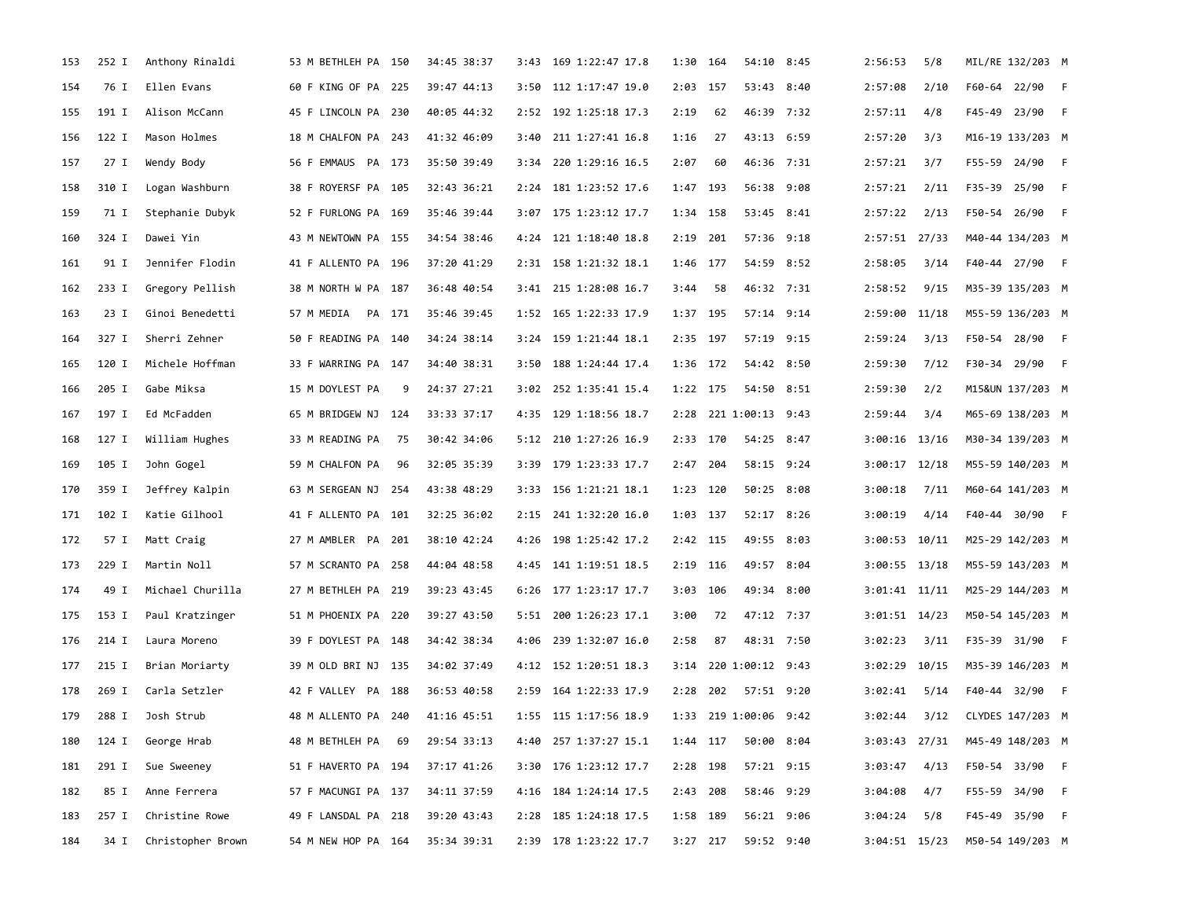| 153 | 252 I | Anthony Rinaldi   | 53 M BETHLEH PA 150  |      | 34:45 38:37 | 3:43 | 169 1:22:47 17.8      | 1:30       | 164 | 54:10 8:45            | 2:56:53           | 5/8  | MIL/RE 132/203 M |  |
|-----|-------|-------------------|----------------------|------|-------------|------|-----------------------|------------|-----|-----------------------|-------------------|------|------------------|--|
| 154 | 76 I  | Ellen Evans       | 60 F KING OF PA 225  |      | 39:47 44:13 | 3:50 | 112 1:17:47 19.0      | $2:03$ 157 |     | 53:43 8:40            | 2:57:08           | 2/10 | F60-64 22/90 F   |  |
| 155 | 191 I | Alison McCann     | 45 F LINCOLN PA 230  |      | 40:05 44:32 |      | 2:52 192 1:25:18 17.3 | 2:19       | 62  | 46:39 7:32            | 2:57:11           | 4/8  | F45-49 23/90 F   |  |
| 156 | 122 I | Mason Holmes      | 18 M CHALFON PA 243  |      | 41:32 46:09 | 3:40 | 211 1:27:41 16.8      | 1:16       | 27  | 43:13 6:59            | 2:57:20           | 3/3  | M16-19 133/203 M |  |
| 157 | 27 I  | Wendy Body        | 56 F EMMAUS PA 173   |      | 35:50 39:49 | 3:34 | 220 1:29:16 16.5      | 2:07       | 60  | 46:36 7:31            | 2:57:21           | 3/7  | F55-59 24/90 F   |  |
| 158 | 310 I | Logan Washburn    | 38 F ROYERSF PA 105  |      | 32:43 36:21 |      | 2:24 181 1:23:52 17.6 | 1:47       | 193 | 56:38 9:08            | 2:57:21           | 2/11 | F35-39 25/90 F   |  |
| 159 | 71 I  | Stephanie Dubyk   | 52 F FURLONG PA 169  |      | 35:46 39:44 |      | 3:07 175 1:23:12 17.7 | 1:34 158   |     | 53:45 8:41            | 2:57:22           | 2/13 | F50-54 26/90 F   |  |
| 160 | 324 I | Dawei Yin         | 43 M NEWTOWN PA 155  |      | 34:54 38:46 |      | 4:24 121 1:18:40 18.8 | 2:19       | 201 | 57:36 9:18            | 2:57:51 27/33     |      | M40-44 134/203 M |  |
| 161 | 91 I  | Jennifer Flodin   | 41 F ALLENTO PA 196  |      | 37:20 41:29 |      | 2:31 158 1:21:32 18.1 | 1:46 177   |     | 54:59 8:52            | 2:58:05           | 3/14 | F40-44 27/90 F   |  |
| 162 | 233 I | Gregory Pellish   | 38 M NORTH W PA 187  |      | 36:48 40:54 |      | 3:41 215 1:28:08 16.7 | 3:44       | 58  | 46:32 7:31            | 2:58:52           | 9/15 | M35-39 135/203 M |  |
| 163 | 23 I  | Ginoi Benedetti   | PA 171<br>57 M MEDIA |      | 35:46 39:45 |      | 1:52 165 1:22:33 17.9 | 1:37 195   |     | 57:14 9:14            | 2:59:00 11/18     |      | M55-59 136/203 M |  |
| 164 | 327 I | Sherri Zehner     | 50 F READING PA 140  |      | 34:24 38:14 |      | 3:24 159 1:21:44 18.1 | 2:35       | 197 | 57:19 9:15            | 2:59:24           | 3/13 | F50-54 28/90 F   |  |
| 165 | 120 I | Michele Hoffman   | 33 F WARRING PA 147  |      | 34:40 38:31 | 3:50 | 188 1:24:44 17.4      | $1:36$ 172 |     | 54:42 8:50            | 2:59:30           | 7/12 | F30-34 29/90 F   |  |
| 166 | 205 I | Gabe Miksa        | 15 M DOYLEST PA      | 9    | 24:37 27:21 |      | 3:02 252 1:35:41 15.4 | 1:22 175   |     | 54:50 8:51            | 2:59:30           | 2/2  | M15&UN 137/203 M |  |
| 167 | 197 I | Ed McFadden       | 65 M BRIDGEW NJ 124  |      | 33:33 37:17 |      | 4:35 129 1:18:56 18.7 |            |     | 2:28 221 1:00:13 9:43 | 2:59:44           | 3/4  | M65-69 138/203 M |  |
| 168 | 127 I | William Hughes    | 33 M READING PA      | - 75 | 30:42 34:06 |      | 5:12 210 1:27:26 16.9 | 2:33 170   |     | 54:25 8:47            | $3:00:16$ 13/16   |      | M30-34 139/203 M |  |
| 169 | 105 I | John Gogel        | 59 M CHALFON PA      | 96   | 32:05 35:39 | 3:39 | 179 1:23:33 17.7      | 2:47       | 204 | 58:15 9:24            | $3:00:17$ 12/18   |      | M55-59 140/203 M |  |
| 170 | 359 I | Jeffrey Kalpin    | 63 M SERGEAN NJ 254  |      | 43:38 48:29 | 3:33 | 156 1:21:21 18.1      | 1:23 120   |     | 50:25 8:08            | 3:00:18           | 7/11 | M60-64 141/203 M |  |
| 171 | 102 I | Katie Gilhool     | 41 F ALLENTO PA 101  |      | 32:25 36:02 |      | 2:15 241 1:32:20 16.0 | 1:03 137   |     | 52:17 8:26            | 3:00:19           | 4/14 | F40-44 30/90 F   |  |
| 172 | 57 I  | Matt Craig        | 27 M AMBLER PA 201   |      | 38:10 42:24 |      | 4:26 198 1:25:42 17.2 | 2:42 115   |     | 49:55 8:03            | $3:00:53$ 10/11   |      | M25-29 142/203 M |  |
| 173 | 229 I | Martin Noll       | 57 M SCRANTO PA 258  |      | 44:04 48:58 |      | 4:45 141 1:19:51 18.5 | $2:19$ 116 |     | 49:57 8:04            | $3:00:55$ 13/18   |      | M55-59 143/203 M |  |
| 174 | 49 I  | Michael Churilla  | 27 M BETHLEH PA 219  |      | 39:23 43:45 |      | 6:26 177 1:23:17 17.7 | 3:03       | 106 | 49:34 8:00            | $3:01:41$ $11/11$ |      | M25-29 144/203 M |  |
| 175 | 153 I | Paul Kratzinger   | 51 M PHOENIX PA 220  |      | 39:27 43:50 |      | 5:51 200 1:26:23 17.1 | 3:00       | 72  | 47:12 7:37            | $3:01:51$ $14/23$ |      | M50-54 145/203 M |  |
| 176 | 214 I | Laura Moreno      | 39 F DOYLEST PA 148  |      | 34:42 38:34 | 4:06 | 239 1:32:07 16.0      | 2:58       | 87  | 48:31 7:50            | 3:02:23           | 3/11 | F35-39 31/90 F   |  |
| 177 | 215 I | Brian Moriarty    | 39 M OLD BRI NJ 135  |      | 34:02 37:49 |      | 4:12 152 1:20:51 18.3 |            |     | 3:14 220 1:00:12 9:43 | $3:02:29$ 10/15   |      | M35-39 146/203 M |  |
| 178 | 269 I | Carla Setzler     | 42 F VALLEY PA 188   |      | 36:53 40:58 | 2:59 | 164 1:22:33 17.9      | $2:28$ 202 |     | 57:51 9:20            | 3:02:41           | 5/14 | F40-44 32/90 F   |  |
| 179 | 288 I | Josh Strub        | 48 M ALLENTO PA 240  |      | 41:16 45:51 |      | 1:55 115 1:17:56 18.9 |            |     | 1:33 219 1:00:06 9:42 | 3:02:44           | 3/12 | CLYDES 147/203 M |  |
| 180 | 124 I | George Hrab       | 48 M BETHLEH PA 69   |      | 29:54 33:13 |      | 4:40 257 1:37:27 15.1 | 1:44 117   |     | 50:00 8:04            | 3:03:43 27/31     |      | M45-49 148/203 M |  |
| 181 | 291 I | Sue Sweeney       | 51 F HAVERTO PA 194  |      | 37:17 41:26 |      | 3:30 176 1:23:12 17.7 | 2:28 198   |     | 57:21 9:15            | 3:03:47           | 4/13 | F50-54 33/90 F   |  |
| 182 | 85 I  | Anne Ferrera      | 57 F MACUNGI PA 137  |      | 34:11 37:59 |      | 4:16 184 1:24:14 17.5 | 2:43 208   |     | 58:46 9:29            | 3:04:08           | 4/7  | F55-59 34/90 F   |  |
| 183 | 257 I | Christine Rowe    | 49 F LANSDAL PA 218  |      | 39:20 43:43 | 2:28 | 185 1:24:18 17.5      | 1:58 189   |     | 56:21 9:06            | 3:04:24           | 5/8  | F45-49 35/90 F   |  |
| 184 | 34 I  | Christopher Brown | 54 M NEW HOP PA 164  |      | 35:34 39:31 |      | 2:39 178 1:23:22 17.7 | $3:27$ 217 |     | 59:52 9:40            | 3:04:51 15/23     |      | M50-54 149/203 M |  |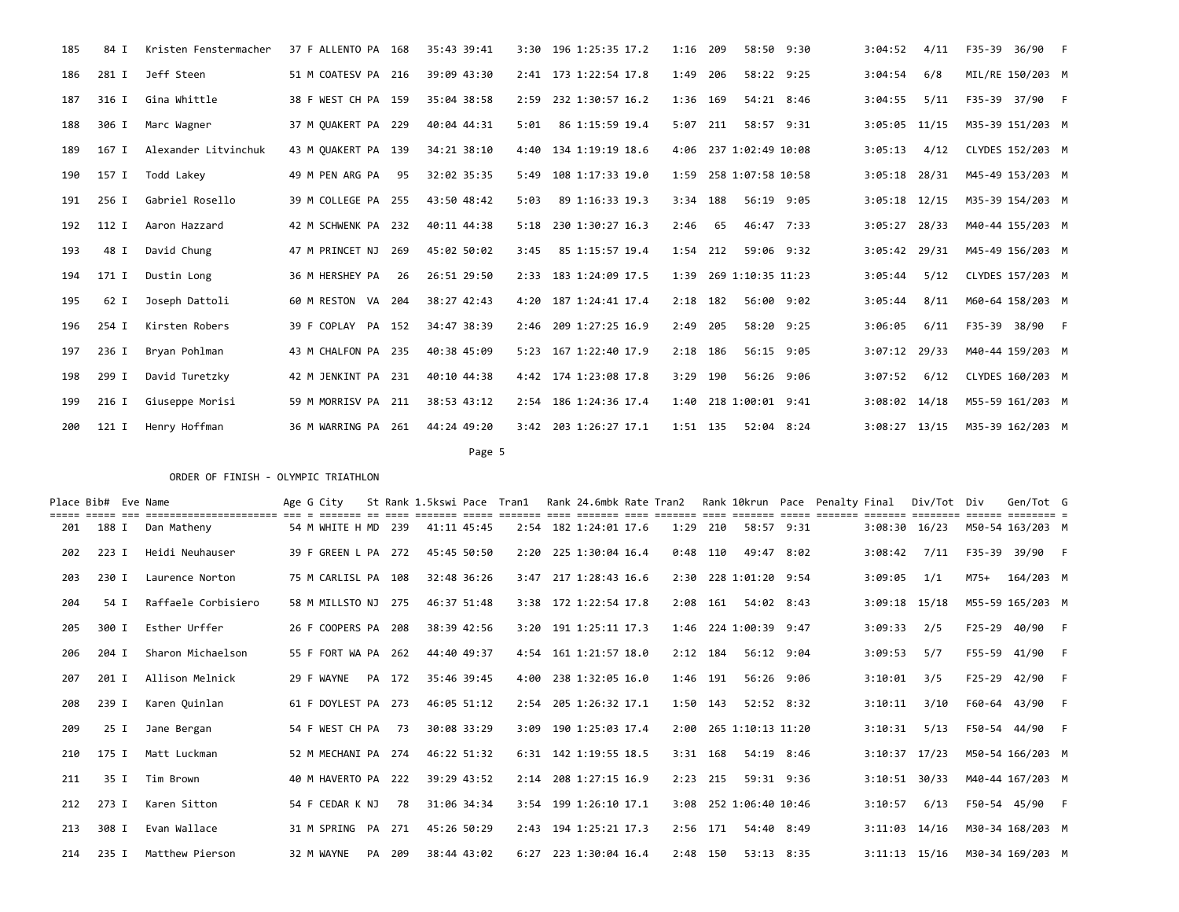| 185 | 84 I  | Kristen Fenstermacher | 37 F ALLENTO PA 168 |     | 35:43 39:41 | 3:30 | 196 1:25:35 17.2      | 1:16       | 209 | 58:50 9:30             | 3:04:52         | 4/11 | F35-39 36/90 F   |  |
|-----|-------|-----------------------|---------------------|-----|-------------|------|-----------------------|------------|-----|------------------------|-----------------|------|------------------|--|
| 186 | 281 I | Jeff Steen            | 51 M COATESV PA 216 |     | 39:09 43:30 |      | 2:41 173 1:22:54 17.8 | 1:49       | 206 | 58:22 9:25             | 3:04:54         | 6/8  | MIL/RE 150/203 M |  |
| 187 | 316 I | Gina Whittle          | 38 F WEST CH PA 159 |     | 35:04 38:58 | 2:59 | 232 1:30:57 16.2      | 1:36 169   |     | 54:21 8:46             | 3:04:55         | 5/11 | F35-39 37/90 F   |  |
| 188 | 306 I | Marc Wagner           | 37 M OUAKERT PA 229 |     | 40:04 44:31 | 5:01 | 86 1:15:59 19.4       | $5:07$ 211 |     | 58:57 9:31             | $3:05:05$ 11/15 |      | M35-39 151/203 M |  |
| 189 | 167 I | Alexander Litvinchuk  | 43 M OUAKERT PA 139 |     | 34:21 38:10 | 4:40 | 134 1:19:19 18.6      |            |     | 4:06 237 1:02:49 10:08 | 3:05:13         | 4/12 | CLYDES 152/203 M |  |
| 190 | 157 I | Todd Lakey            | 49 M PEN ARG PA     | 95  | 32:02 35:35 | 5:49 | 108 1:17:33 19.0      |            |     | 1:59 258 1:07:58 10:58 | $3:05:18$ 28/31 |      | M45-49 153/203 M |  |
| 191 | 256 I | Gabriel Rosello       | 39 M COLLEGE PA 255 |     | 43:50 48:42 | 5:03 | 89 1:16:33 19.3       | $3:34$ 188 |     | 56:19 9:05             | $3:05:18$ 12/15 |      | M35-39 154/203 M |  |
| 192 | 112 I | Aaron Hazzard         | 42 M SCHWENK PA     | 232 | 40:11 44:38 | 5:18 | 230 1:30:27 16.3      | 2:46       | 65  | 46:47 7:33             | $3:05:27$ 28/33 |      | M40-44 155/203 M |  |
| 193 | 48 I  | David Chung           | 47 M PRINCET NJ     | 269 | 45:02 50:02 | 3:45 | 85 1:15:57 19.4       | $1:54$ 212 |     | 59:06 9:32             | $3:05:42$ 29/31 |      | M45-49 156/203 M |  |
| 194 | 171 I | Dustin Long           | 36 M HERSHEY PA     | 26  | 26:51 29:50 | 2:33 | 183 1:24:09 17.5      | 1:39       |     | 269 1:10:35 11:23      | 3:05:44         | 5/12 | CLYDES 157/203 M |  |
| 195 | 62 I  | Joseph Dattoli        | 60 M RESTON VA      | 204 | 38:27 42:43 | 4:20 | 187 1:24:41 17.4      | $2:18$ 182 |     | 56:00 9:02             | 3:05:44         | 8/11 | M60-64 158/203 M |  |
| 196 | 254 I | Kirsten Robers        | 39 F COPLAY PA 152  |     | 34:47 38:39 |      | 2:46 209 1:27:25 16.9 | 2:49       | 205 | 58:20 9:25             | 3:06:05         | 6/11 | F35-39 38/90 F   |  |
| 197 | 236 I | Bryan Pohlman         | 43 M CHALFON PA 235 |     | 40:38 45:09 |      | 5:23 167 1:22:40 17.9 | $2:18$ 186 |     | 56:15 9:05             | $3:07:12$ 29/33 |      | M40-44 159/203 M |  |
| 198 | 299 I | David Turetzky        | 42 M JENKINT PA 231 |     | 40:10 44:38 |      | 4:42 174 1:23:08 17.8 | 3:29       | 190 | 56:26 9:06             | 3:07:52         | 6/12 | CLYDES 160/203 M |  |
| 199 | 216 I | Giuseppe Morisi       | 59 M MORRISV PA     | 211 | 38:53 43:12 |      | 2:54 186 1:24:36 17.4 |            |     | 1:40 218 1:00:01 9:41  | $3:08:02$ 14/18 |      | M55-59 161/203 M |  |
| 200 | 121 I | Henry Hoffman         | 36 M WARRING PA 261 |     | 44:24 49:20 | 3:42 | 203 1:26:27 17.1      | 1:51 135   |     | 52:04 8:24             | $3:08:27$ 13/15 |      | M35-39 162/203 M |  |

Page 5 and the state of the state of the state of the state of the state of the state of the state of the state of the state of the state of the state of the state of the state of the state of the state of the state of the

|     | Place Bib# Eve Name | ===================== | Age G City          |    |        | St Rank 1.5kswi Pace |             | Tran1 | Rank 24.6mbk Rate Tran2 |            |            |                        | Rank 10krun Pace Penalty Final |                   | Div/Tot Div |        | Gen/Tot G        |  |
|-----|---------------------|-----------------------|---------------------|----|--------|----------------------|-------------|-------|-------------------------|------------|------------|------------------------|--------------------------------|-------------------|-------------|--------|------------------|--|
| 201 | 188 I               | Dan Matheny           | 54 M WHITE H MD     |    | 239    | 41:11 45:45          |             |       | 2:54 182 1:24:01 17.6   | 1:29       | 210        | 58:57 9:31             |                                | $3:08:30$ $16/23$ |             |        | M50-54 163/203 M |  |
| 202 | 223 I               | Heidi Neuhauser       | 39 F GREEN L PA 272 |    |        | 45:45 50:50          |             |       | 2:20 225 1:30:04 16.4   | $0:48$ 110 |            | 49:47 8:02             |                                | 3:08:42           | 7/11        |        | F35-39 39/90 F   |  |
| 203 | 230 I               | Laurence Norton       | 75 M CARLISL PA 108 |    |        |                      | 32:48 36:26 | 3:47  | 217 1:28:43 16.6        |            |            | 2:30 228 1:01:20 9:54  |                                | 3:09:05           | 1/1         | M75+   | 164/203 M        |  |
| 204 | 54 I                | Raffaele Corbisiero   | 58 M MILLSTO NJ     |    | 275    | 46:37 51:48          |             |       | 3:38 172 1:22:54 17.8   | 2:08 161   |            | 54:02 8:43             |                                | $3:09:18$ 15/18   |             |        | M55-59 165/203 M |  |
| 205 | 300 I               | Esther Urffer         | 26 F COOPERS PA     |    | 208    |                      | 38:39 42:56 |       | 3:20 191 1:25:11 17.3   |            |            | 1:46 224 1:00:39 9:47  |                                | 3:09:33           | 2/5         | F25-29 | 40/90 F          |  |
| 206 | 204 I               | Sharon Michaelson     | 55 F FORT WA PA     |    | 262    | 44:40 49:37          |             |       | $4:54$ 161 1:21:57 18.0 | $2:12$ 184 |            | 56:12 9:04             |                                | 3:09:53           | 5/7         |        | F55-59 41/90 F   |  |
| 207 | 201 I               | Allison Melnick       | 29 F WAYNE          |    | PA 172 |                      | 35:46 39:45 | 4:00  | 238 1:32:05 16.0        | 1:46 191   |            | 56:26 9:06             |                                | 3:10:01           | 3/5         | F25-29 | 42/90 F          |  |
| 208 | 239 I               | Karen Quinlan         | 61 F DOYLEST PA 273 |    |        | 46:05 51:12          |             |       | 2:54 205 1:26:32 17.1   | $1:50$ 143 |            | 52:52 8:32             |                                | 3:10:11           | 3/10        |        | F60-64 43/90 F   |  |
| 209 | 25 I                | Jane Bergan           | 54 F WEST CH PA     |    | 73     | 30:08 33:29          |             | 3:09  | 190 1:25:03 17.4        |            |            | 2:00 265 1:10:13 11:20 |                                | 3:10:31           | 5/13        |        | F50-54 44/90 F   |  |
| 210 | 175 I               | Matt Luckman          | 52 M MECHANI PA 274 |    |        | 46:22 51:32          |             |       | 6:31 142 1:19:55 18.5   |            | $3:31$ 168 | 54:19 8:46             |                                | $3:10:37$ 17/23   |             |        | M50-54 166/203 M |  |
| 211 | 35 I                | Tim Brown             | 40 M HAVERTO PA     |    | 222    | 39:29 43:52          |             |       | $2:14$ 208 1:27:15 16.9 | $2:23$ 215 |            | 59:31 9:36             |                                | $3:10:51$ $30/33$ |             |        | M40-44 167/203 M |  |
| 212 | 273 I               | Karen Sitton          | 54 F CEDAR K NJ     |    | 78     |                      | 31:06 34:34 |       | $3:54$ 199 1:26:10 17.1 |            |            | 3:08 252 1:06:40 10:46 |                                | 3:10:57           | 6/13        |        | F50-54 45/90 F   |  |
| 213 | 308 I               | Evan Wallace          | 31 M SPRING PA      |    | 271    | 45:26 50:29          |             | 2:43  | 194 1:25:21 17.3        | 2:56 171   |            | 54:40 8:49             |                                | $3:11:03$ $14/16$ |             |        | M30-34 168/203 M |  |
| 214 | 235 I               | Matthew Pierson       | 32 M WAYNE          | PA | 209    |                      | 38:44 43:02 | 6:27  | 223 1:30:04 16.4        | 2:48 150   |            | 53:13 8:35             |                                | $3:11:13$ $15/16$ |             |        | M30-34 169/203 M |  |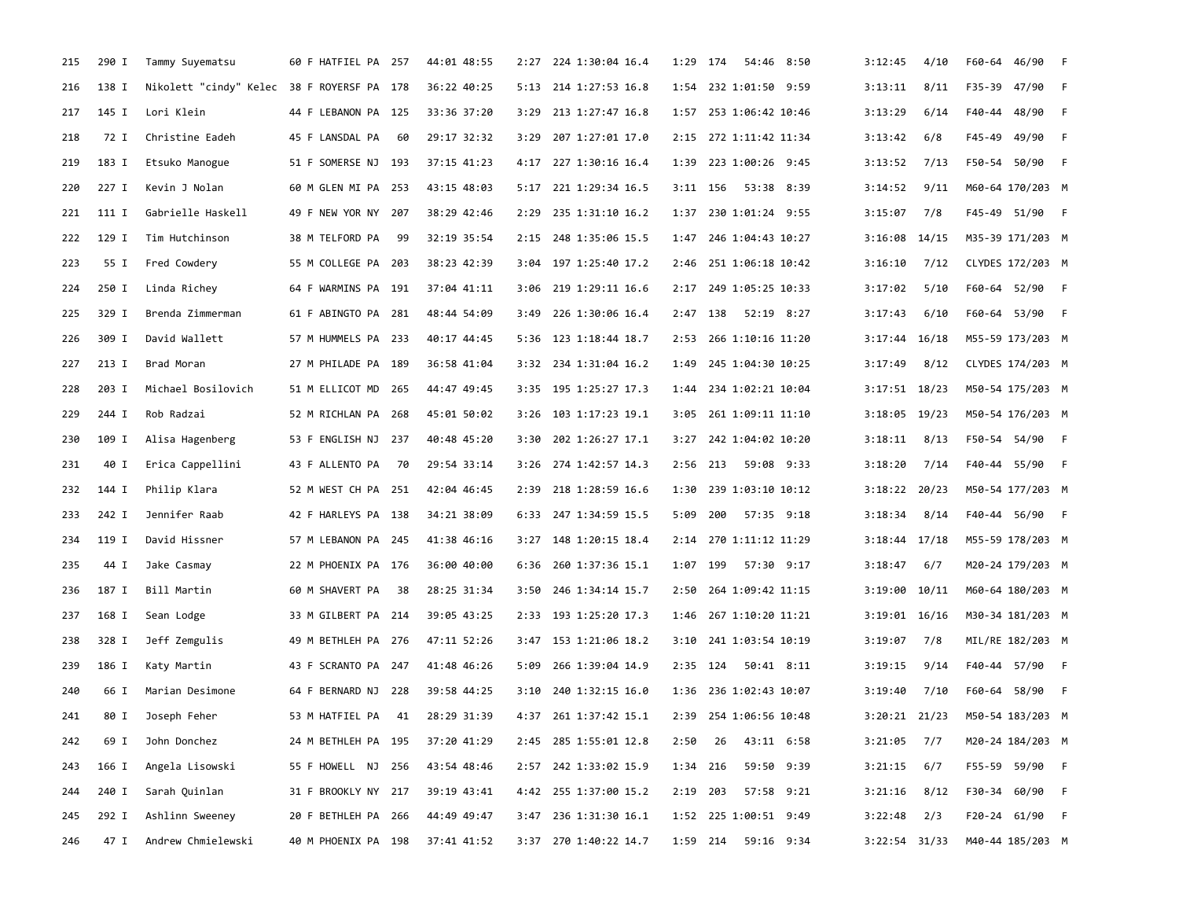| 215 | 290 I | Tammy Suyematsu                            | 60 F HATFIEL PA 257 |     | 44:01 48:55 | 2:27 | 224 1:30:04 16.4      | 1:29       | 174                    | 54:46 8:50 | 3:12:45           | 4/10 | F60-64 46/90     | $-F$ |
|-----|-------|--------------------------------------------|---------------------|-----|-------------|------|-----------------------|------------|------------------------|------------|-------------------|------|------------------|------|
| 216 | 138 I | Nikolett "cindy" Kelec 38 F ROYERSF PA 178 |                     |     | 36:22 40:25 | 5:13 | 214 1:27:53 16.8      |            | 1:54 232 1:01:50 9:59  |            | 3:13:11           | 8/11 | F35-39 47/90 F   |      |
| 217 | 145 I | Lori Klein                                 | 44 F LEBANON PA 125 |     | 33:36 37:20 | 3:29 | 213 1:27:47 16.8      |            | 1:57 253 1:06:42 10:46 |            | 3:13:29           | 6/14 | F40-44 48/90 F   |      |
| 218 | 72 I  | Christine Eadeh                            | 45 F LANSDAL PA     | -60 | 29:17 32:32 | 3:29 | 207 1:27:01 17.0      |            | 2:15 272 1:11:42 11:34 |            | 3:13:42           | 6/8  | F45-49 49/90 F   |      |
| 219 | 183 I | Etsuko Manogue                             | 51 F SOMERSE NJ 193 |     | 37:15 41:23 | 4:17 | 227 1:30:16 16.4      |            | 1:39 223 1:00:26 9:45  |            | 3:13:52           | 7/13 | F50-54 50/90     | $-F$ |
| 220 | 227 I | Kevin J Nolan                              | 60 M GLEN MI PA 253 |     | 43:15 48:03 | 5:17 | 221 1:29:34 16.5      | $3:11$ 156 | 53:38 8:39             |            | 3:14:52           | 9/11 | M60-64 170/203 M |      |
| 221 | 111 I | Gabrielle Haskell                          | 49 F NEW YOR NY     | 207 | 38:29 42:46 | 2:29 | 235 1:31:10 16.2      |            | 1:37 230 1:01:24 9:55  |            | 3:15:07           | 7/8  | F45-49 51/90 F   |      |
| 222 | 129 I | Tim Hutchinson                             | 38 M TELFORD PA     | 99  | 32:19 35:54 |      | 2:15 248 1:35:06 15.5 |            | 1:47 246 1:04:43 10:27 |            | $3:16:08$ 14/15   |      | M35-39 171/203 M |      |
| 223 | 55 I  | Fred Cowdery                               | 55 M COLLEGE PA 203 |     | 38:23 42:39 |      | 3:04 197 1:25:40 17.2 |            | 2:46 251 1:06:18 10:42 |            | 3:16:10           | 7/12 | CLYDES 172/203 M |      |
| 224 | 250 I | Linda Richey                               | 64 F WARMINS PA 191 |     | 37:04 41:11 | 3:06 | 219 1:29:11 16.6      |            | 2:17 249 1:05:25 10:33 |            | 3:17:02           | 5/10 | F60-64 52/90 F   |      |
| 225 | 329 I | Brenda Zimmerman                           | 61 F ABINGTO PA 281 |     | 48:44 54:09 | 3:49 | 226 1:30:06 16.4      | 2:47 138   | 52:19 8:27             |            | 3:17:43           | 6/10 | F60-64 53/90 F   |      |
| 226 | 309 I | David Wallett                              | 57 M HUMMELS PA 233 |     | 40:17 44:45 | 5:36 | 123 1:18:44 18.7      | 2:53       | 266 1:10:16 11:20      |            | $3:17:44$ 16/18   |      | M55-59 173/203 M |      |
| 227 | 213 I | Brad Moran                                 | 27 M PHILADE PA 189 |     | 36:58 41:04 |      | 3:32 234 1:31:04 16.2 | 1:49       | 245 1:04:30 10:25      |            | 3:17:49           | 8/12 | CLYDES 174/203 M |      |
| 228 | 203 I | Michael Bosilovich                         | 51 M ELLICOT MD 265 |     | 44:47 49:45 |      | 3:35 195 1:25:27 17.3 |            | 1:44 234 1:02:21 10:04 |            | $3:17:51$ 18/23   |      | M50-54 175/203 M |      |
| 229 | 244 I | Rob Radzai                                 | 52 M RICHLAN PA 268 |     | 45:01 50:02 | 3:26 | 103 1:17:23 19.1      |            | 3:05 261 1:09:11 11:10 |            | $3:18:05$ 19/23   |      | M50-54 176/203 M |      |
| 230 | 109 I | Alisa Hagenberg                            | 53 F ENGLISH NJ 237 |     | 40:48 45:20 | 3:30 | 202 1:26:27 17.1      | 3:27       | 242 1:04:02 10:20      |            | 3:18:11           | 8/13 | F50-54 54/90 F   |      |
| 231 | 40 I  | Erica Cappellini                           | 43 F ALLENTO PA     | 70  | 29:54 33:14 | 3:26 | 274 1:42:57 14.3      | 2:56       | 59:08 9:33<br>213      |            | 3:18:20           | 7/14 | F40-44 55/90 F   |      |
| 232 | 144 I | Philip Klara                               | 52 M WEST CH PA 251 |     | 42:04 46:45 | 2:39 | 218 1:28:59 16.6      | 1:30       | 239 1:03:10 10:12      |            | $3:18:22$ 20/23   |      | M50-54 177/203 M |      |
| 233 | 242 I | Jennifer Raab                              | 42 F HARLEYS PA 138 |     | 34:21 38:09 |      | 6:33 247 1:34:59 15.5 | 5:09       | 200                    | 57:35 9:18 | 3:18:34           | 8/14 | F40-44 56/90 F   |      |
| 234 | 119 I | David Hissner                              | 57 M LEBANON PA 245 |     | 41:38 46:16 |      | 3:27 148 1:20:15 18.4 |            | 2:14 270 1:11:12 11:29 |            | $3:18:44$ 17/18   |      | M55-59 178/203 M |      |
| 235 | 44 I  | Jake Casmay                                | 22 M PHOENIX PA 176 |     | 36:00 40:00 | 6:36 | 260 1:37:36 15.1      | 1:07 199   |                        | 57:30 9:17 | 3:18:47           | 6/7  | M20-24 179/203 M |      |
| 236 | 187 I | Bill Martin                                | 60 M SHAVERT PA     | 38  | 28:25 31:34 | 3:50 | 246 1:34:14 15.7      | 2:50       | 264 1:09:42 11:15      |            | $3:19:00$ $10/11$ |      | M60-64 180/203 M |      |
| 237 | 168 I | Sean Lodge                                 | 33 M GILBERT PA 214 |     | 39:05 43:25 | 2:33 | 193 1:25:20 17.3      | 1:46       | 267 1:10:20 11:21      |            | $3:19:01$ $16/16$ |      | M30-34 181/203 M |      |
| 238 | 328 I | Jeff Zemgulis                              | 49 M BETHLEH PA 276 |     | 47:11 52:26 |      | 3:47 153 1:21:06 18.2 | 3:10       | 241 1:03:54 10:19      |            | 3:19:07           | 7/8  | MIL/RE 182/203 M |      |
| 239 | 186 I | Katy Martin                                | 43 F SCRANTO PA 247 |     | 41:48 46:26 | 5:09 | 266 1:39:04 14.9      | $2:35$ 124 |                        | 50:41 8:11 | 3:19:15           | 9/14 | F40-44 57/90 F   |      |
| 240 | 66 I  | Marian Desimone                            | 64 F BERNARD NJ 228 |     | 39:58 44:25 | 3:10 | 240 1:32:15 16.0      |            | 1:36 236 1:02:43 10:07 |            | 3:19:40           | 7/10 | F60-64 58/90 F   |      |
| 241 | 80 I  | Joseph Feher                               | 53 M HATFIEL PA     | 41  | 28:29 31:39 |      | 4:37 261 1:37:42 15.1 |            | 2:39 254 1:06:56 10:48 |            | $3:20:21$ $21/23$ |      | M50-54 183/203 M |      |
| 242 | 69 I  | John Donchez                               | 24 M BETHLEH PA 195 |     | 37:20 41:29 |      | 2:45 285 1:55:01 12.8 | 2:50       | 26                     | 43:11 6:58 | 3:21:05           | 7/7  | M20-24 184/203 M |      |
| 243 | 166 I | Angela Lisowski                            | 55 F HOWELL NJ 256  |     | 43:54 48:46 |      | 2:57 242 1:33:02 15.9 | 1:34 216   |                        | 59:50 9:39 | 3:21:15           | 6/7  | F55-59 59/90 F   |      |
| 244 | 240 I | Sarah Quinlan                              | 31 F BROOKLY NY 217 |     | 39:19 43:41 |      | 4:42 255 1:37:00 15.2 | 2:19 203   |                        | 57:58 9:21 | 3:21:16           | 8/12 | F30-34 60/90 F   |      |
| 245 | 292 I | Ashlinn Sweeney                            | 20 F BETHLEH PA 266 |     | 44:49 49:47 | 3:47 | 236 1:31:30 16.1      |            | 1:52 225 1:00:51 9:49  |            | 3:22:48           | 2/3  | F20-24 61/90 F   |      |
| 246 | 47 I  | Andrew Chmielewski                         | 40 M PHOENIX PA 198 |     | 37:41 41:52 |      | 3:37 270 1:40:22 14.7 | 1:59 214   |                        | 59:16 9:34 | 3:22:54 31/33     |      | M40-44 185/203 M |      |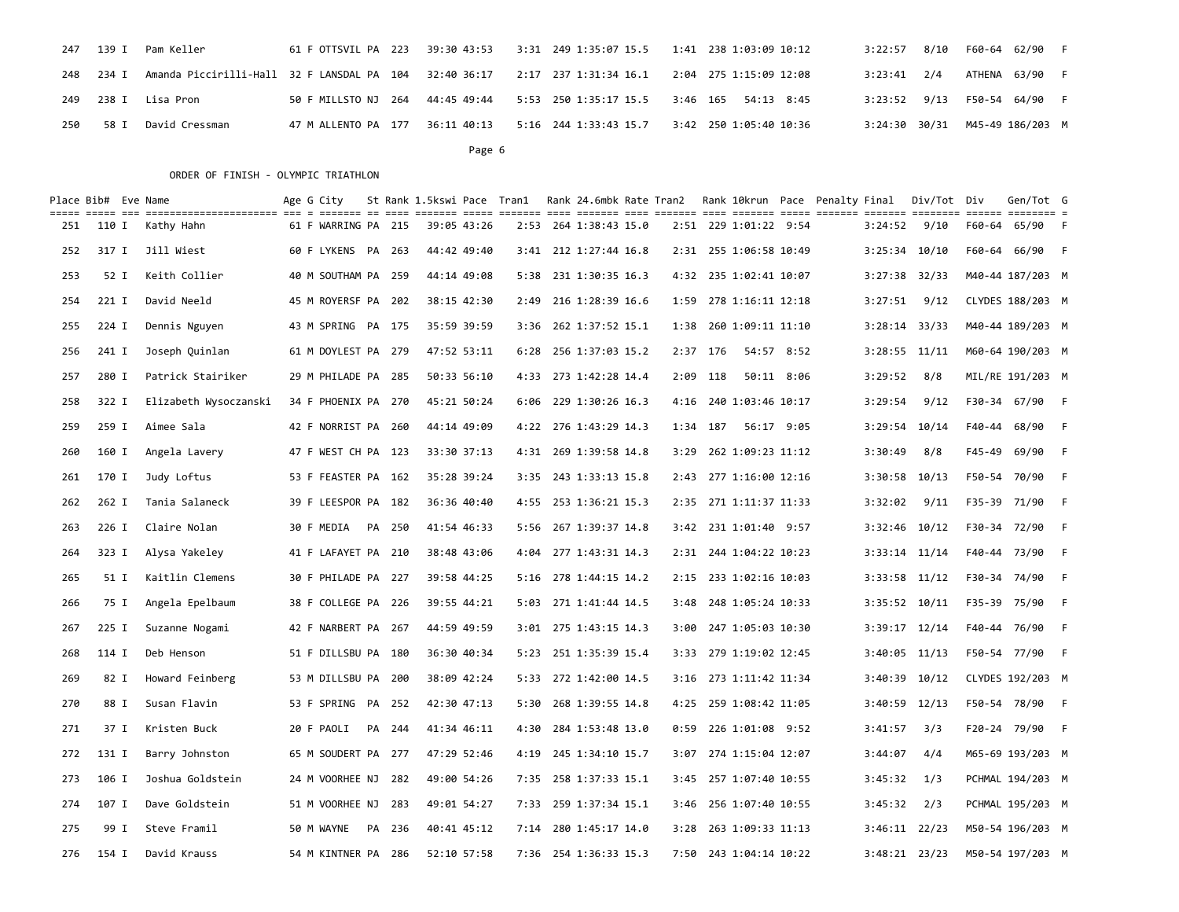|     |           | 247 139 I Pam Keller |  | 61 F OTTSVIL PA 223 39:30 43:53 3:31 249 1:35:07 15.5 1:41 238 1:03:09 10:12                        |                 | 3:22:57 8/10 F60-64 62/90 F    |  |
|-----|-----------|----------------------|--|-----------------------------------------------------------------------------------------------------|-----------------|--------------------------------|--|
|     | 248 234 I |                      |  | Amanda Piccirilli-Hall 32 F LANSDAL PA 104 32:40 36:17 2:17 237 1:31:34 16.1 2:04 275 1:15:09 12:08 | $3:23:41$ $2/4$ | ATHENA 63/90 F                 |  |
|     |           | 249 238 I Lisa Pron  |  | 50 F MILLSTO NJ 264 44:45 49:44 5:53 250 1:35:17 15.5 3:46 165 54:13 8:45                           |                 | 3:23:52 9/13 F50-54 64/90 F    |  |
| 250 | 58 I      | David Cressman       |  | 47 M ALLENTO PA 177 36:11 40:13 5:16 244 1:33:43 15.7 3:42 250 1:05:40 10:36                        |                 | 3:24:30 30/31 M45-49 186/203 M |  |

Page 6 and the contract of the contract of the contract of the contract of the contract of the contract of the contract of the contract of the contract of the contract of the contract of the contract of the contract of the

|     | Place Bib# Eve Name | cont once di concertivemente di c contic de cos cinem com contre che cinem con cinem che conti conte contre conte contre contre s | Age G City          |        | St Rank 1.5kswi Pace Tran1 |             |      | Rank 24.6mbk Rate Tran2 |          |          | Rank 10krun Pace Penalty Final |            |                   | Div/Tot Div | Gen/Tot G        |  |
|-----|---------------------|-----------------------------------------------------------------------------------------------------------------------------------|---------------------|--------|----------------------------|-------------|------|-------------------------|----------|----------|--------------------------------|------------|-------------------|-------------|------------------|--|
| 251 | 110 I               | Kathy Hahn                                                                                                                        | 61 F WARRING PA 215 |        |                            | 39:05 43:26 |      | 2:53 264 1:38:43 15.0   |          |          | 2:51 229 1:01:22 9:54          |            | 3:24:52           | 9/10        | F60-64 65/90 F   |  |
| 252 | 317 I               | Jill Wiest                                                                                                                        | 60 F LYKENS PA 263  |        |                            | 44:42 49:40 |      | 3:41 212 1:27:44 16.8   |          |          | 2:31 255 1:06:58 10:49         |            | $3:25:34$ 10/10   |             | F60-64 66/90 F   |  |
| 253 | 52 I                | Keith Collier                                                                                                                     | 40 M SOUTHAM PA 259 |        |                            | 44:14 49:08 |      | 5:38 231 1:30:35 16.3   |          |          | 4:32 235 1:02:41 10:07         |            | $3:27:38$ $32/33$ |             | M40-44 187/203 M |  |
| 254 | $221$ I             | David Neeld                                                                                                                       | 45 M ROYERSF PA 202 |        |                            | 38:15 42:30 | 2:49 | 216 1:28:39 16.6        |          |          | 1:59 278 1:16:11 12:18         |            | 3:27:51           | 9/12        | CLYDES 188/203 M |  |
| 255 | 224 I               | Dennis Nguyen                                                                                                                     | 43 M SPRING PA 175  |        |                            | 35:59 39:59 | 3:36 | 262 1:37:52 15.1        |          |          | 1:38 260 1:09:11 11:10         |            | $3:28:14$ $33/33$ |             | M40-44 189/203 M |  |
| 256 | 241 I               | Joseph Quinlan                                                                                                                    | 61 M DOYLEST PA 279 |        |                            | 47:52 53:11 |      | 6:28 256 1:37:03 15.2   |          | 2:37 176 | 54:57 8:52                     |            | $3:28:55$ $11/11$ |             | M60-64 190/203 M |  |
| 257 | 280 I               | Patrick Stairiker                                                                                                                 | 29 M PHILADE PA 285 |        |                            | 50:33 56:10 |      | 4:33 273 1:42:28 14.4   |          | 2:09 118 |                                | 50:11 8:06 | 3:29:52           | 8/8         | MIL/RE 191/203 M |  |
| 258 | 322 I               | Elizabeth Wysoczanski                                                                                                             | 34 F PHOENIX PA 270 |        |                            | 45:21 50:24 |      | 6:06 229 1:30:26 16.3   |          |          | 4:16 240 1:03:46 10:17         |            | 3:29:54           | 9/12        | F30-34 67/90 F   |  |
| 259 | 259 I               | Aimee Sala                                                                                                                        | 42 F NORRIST PA 260 |        |                            | 44:14 49:09 |      | 4:22 276 1:43:29 14.3   | 1:34 187 |          | 56:17 9:05                     |            | 3:29:54 10/14     |             | F40-44 68/90 F   |  |
| 260 | 160 I               | Angela Lavery                                                                                                                     | 47 F WEST CH PA 123 |        |                            | 33:30 37:13 |      | 4:31 269 1:39:58 14.8   | 3:29     |          | 262 1:09:23 11:12              |            | 3:30:49           | 8/8         | F45-49 69/90 F   |  |
| 261 | 170 I               | Judy Loftus                                                                                                                       | 53 F FEASTER PA 162 |        |                            | 35:28 39:24 |      | 3:35 243 1:33:13 15.8   |          |          | 2:43 277 1:16:00 12:16         |            | 3:30:58 10/13     |             | F50-54 70/90 F   |  |
| 262 | 262 I               | Tania Salaneck                                                                                                                    | 39 F LEESPOR PA 182 |        |                            | 36:36 40:40 |      | 4:55 253 1:36:21 15.3   |          |          | 2:35 271 1:11:37 11:33         |            | 3:32:02           | 9/11        | F35-39 71/90 F   |  |
| 263 | 226 I               | Claire Nolan                                                                                                                      | 30 F MEDIA          | PA 250 |                            | 41:54 46:33 |      | 5:56 267 1:39:37 14.8   |          |          | 3:42 231 1:01:40 9:57          |            | $3:32:46$ 10/12   |             | F30-34 72/90 F   |  |
| 264 | 323 I               | Alysa Yakeley                                                                                                                     | 41 F LAFAYET PA 210 |        |                            | 38:48 43:06 |      | 4:04 277 1:43:31 14.3   |          |          | 2:31 244 1:04:22 10:23         |            | $3:33:14$ 11/14   |             | F40-44 73/90 F   |  |
| 265 | 51 I                | Kaitlin Clemens                                                                                                                   | 30 F PHILADE PA 227 |        |                            | 39:58 44:25 |      | 5:16 278 1:44:15 14.2   |          |          | 2:15 233 1:02:16 10:03         |            | $3:33:58$ 11/12   |             | F30-34 74/90 F   |  |
| 266 | 75 I                | Angela Epelbaum                                                                                                                   | 38 F COLLEGE PA 226 |        |                            | 39:55 44:21 |      | 5:03 271 1:41:44 14.5   |          |          | 3:48 248 1:05:24 10:33         |            | 3:35:52 10/11     |             | F35-39 75/90 F   |  |
| 267 | 225 I               | Suzanne Nogami                                                                                                                    | 42 F NARBERT PA 267 |        |                            | 44:59 49:59 |      | 3:01 275 1:43:15 14.3   |          |          | 3:00 247 1:05:03 10:30         |            | $3:39:17$ 12/14   |             | F40-44 76/90 F   |  |
| 268 | 114 I               | Deb Henson                                                                                                                        | 51 F DILLSBU PA 180 |        |                            | 36:30 40:34 |      | 5:23 251 1:35:39 15.4   |          |          | 3:33 279 1:19:02 12:45         |            | $3:40:05$ 11/13   |             | F50-54 77/90 F   |  |
| 269 | 82 I                | Howard Feinberg                                                                                                                   | 53 M DILLSBU PA 200 |        |                            | 38:09 42:24 |      | 5:33 272 1:42:00 14.5   |          |          | 3:16 273 1:11:42 11:34         |            | 3:40:39 10/12     |             | CLYDES 192/203 M |  |
| 270 | 88 I                | Susan Flavin                                                                                                                      | 53 F SPRING PA 252  |        |                            | 42:30 47:13 | 5:30 | 268 1:39:55 14.8        |          |          | 4:25 259 1:08:42 11:05         |            | 3:40:59 12/13     |             | F50-54 78/90 F   |  |
| 271 | 37 I                | Kristen Buck                                                                                                                      | 20 F PAOLI          | PA 244 |                            | 41:34 46:11 |      | 4:30 284 1:53:48 13.0   |          |          | 0:59 226 1:01:08 9:52          |            | 3:41:57           | 3/3         | F20-24 79/90 F   |  |
| 272 | 131 I               | Barry Johnston                                                                                                                    | 65 M SOUDERT PA 277 |        |                            | 47:29 52:46 |      | 4:19 245 1:34:10 15.7   |          |          | 3:07 274 1:15:04 12:07         |            | 3:44:07           | 4/4         | M65-69 193/203 M |  |
| 273 | 106 I               | Joshua Goldstein                                                                                                                  | 24 M VOORHEE NJ     | 282    |                            | 49:00 54:26 |      | 7:35 258 1:37:33 15.1   |          |          | 3:45 257 1:07:40 10:55         |            | 3:45:32           | 1/3         | PCHMAL 194/203 M |  |
| 274 | 107 I               | Dave Goldstein                                                                                                                    | 51 M VOORHEE NJ     | 283    |                            | 49:01 54:27 |      | 7:33 259 1:37:34 15.1   |          |          | 3:46 256 1:07:40 10:55         |            | 3:45:32           | 2/3         | PCHMAL 195/203 M |  |
| 275 | 99 I                | Steve Framil                                                                                                                      | 50 M WAYNE          | PA 236 |                            | 40:41 45:12 |      | 7:14 280 1:45:17 14.0   |          |          | 3:28 263 1:09:33 11:13         |            | $3:46:11$ 22/23   |             | M50-54 196/203 M |  |
| 276 | 154 I               | David Krauss                                                                                                                      | 54 M KINTNER PA 286 |        |                            | 52:10 57:58 |      | 7:36 254 1:36:33 15.3   |          |          | 7:50 243 1:04:14 10:22         |            | 3:48:21 23/23     |             | M50-54 197/203 M |  |